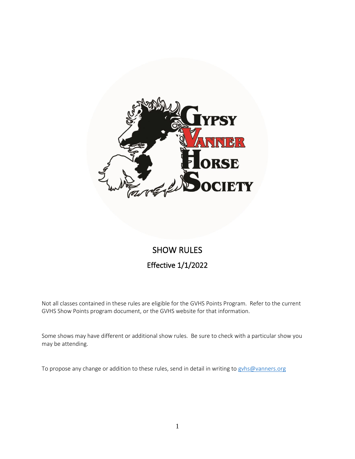

# SHOW RULES Effective 1/1/2022

Not all classes contained in these rules are eligible for the GVHS Points Program. Refer to the current GVHS Show Points program document, or the GVHS website for that information.

Some shows may have different or additional show rules. Be sure to check with a particular show you may be attending.

To propose any change or addition to these rules, send in detail in writing to gyhs@vanners.org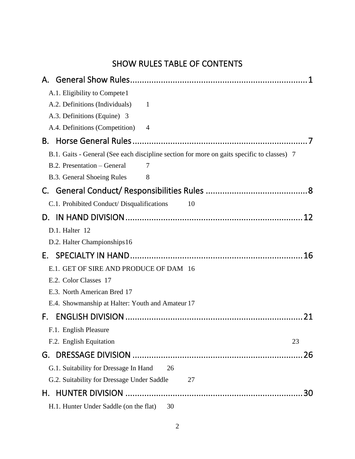# SHOW RULES TABLE OF CONTENTS

|    | A.1. Eligibility to Compete 1                                                              |  |  |
|----|--------------------------------------------------------------------------------------------|--|--|
|    | A.2. Definitions (Individuals) 1                                                           |  |  |
|    | A.3. Definitions (Equine) 3                                                                |  |  |
|    | A.4. Definitions (Competition) 4                                                           |  |  |
| В. |                                                                                            |  |  |
|    | B.1. Gaits - General (See each discipline section for more on gaits specific to classes) 7 |  |  |
|    | B.2. Presentation – General<br>7                                                           |  |  |
|    | B.3. General Shoeing Rules<br>8                                                            |  |  |
|    |                                                                                            |  |  |
|    | C.1. Prohibited Conduct/ Disqualifications<br>10                                           |  |  |
|    | 12                                                                                         |  |  |
|    | D.1. Halter 12                                                                             |  |  |
|    | D.2. Halter Championships 16                                                               |  |  |
| Е. |                                                                                            |  |  |
|    | E.1. GET OF SIRE AND PRODUCE OF DAM 16                                                     |  |  |
|    | E.2. Color Classes 17                                                                      |  |  |
|    | E.3. North American Bred 17                                                                |  |  |
|    | E.4. Showmanship at Halter: Youth and Amateur 17                                           |  |  |
| F. | 21                                                                                         |  |  |
|    | F.1. English Pleasure                                                                      |  |  |
|    | F.2. English Equitation<br>23                                                              |  |  |
| G. | 26                                                                                         |  |  |
|    | G.1. Suitability for Dressage In Hand<br>26                                                |  |  |
|    | G.2. Suitability for Dressage Under Saddle<br>27                                           |  |  |
| Н. | 30                                                                                         |  |  |
|    | H.1. Hunter Under Saddle (on the flat)<br>30                                               |  |  |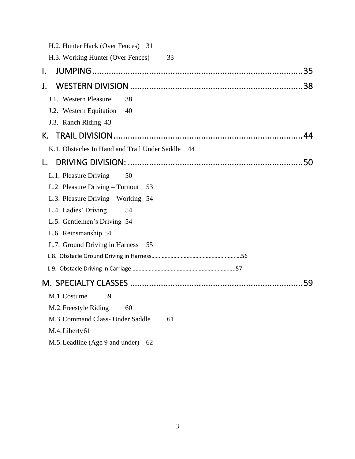| H.2. Hunter Hack (Over Fences) 31                |    |
|--------------------------------------------------|----|
| H.3. Working Hunter (Over Fences)<br>33          |    |
| $\mathbf{l}$ .                                   |    |
| J.                                               |    |
| J.1. Western Pleasure<br>38                      |    |
| J.2. Western Equitation<br>40                    |    |
| J.3. Ranch Riding 43                             |    |
| К.                                               | 44 |
| K.1. Obstacles In Hand and Trail Under Saddle 44 |    |
| L.                                               |    |
| L.1. Pleasure Driving<br>50                      |    |
| L.2. Pleasure Driving – Turnout<br>- 53          |    |
| L.3. Pleasure Driving - Working 54               |    |
| L.4. Ladies' Driving<br>54                       |    |
| L.5. Gentlemen's Driving 54                      |    |
| L.6. Reinsmanship 54                             |    |
| L.7. Ground Driving in Harness<br>55             |    |
|                                                  |    |
|                                                  |    |
|                                                  | 59 |
| M.1. Costume<br>59                               |    |
| M.2. Freestyle Riding<br>60                      |    |
| M.3. Command Class- Under Saddle<br>61           |    |
| M.4. Liberty 61                                  |    |
| M.5. Leadline (Age 9 and under)<br>62            |    |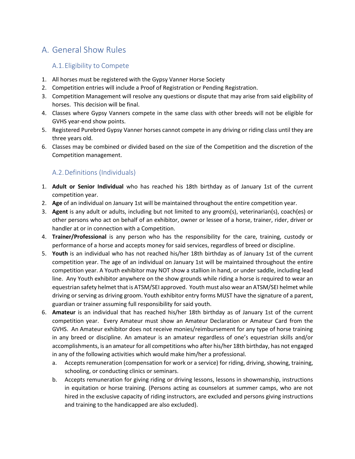# A. General Show Rules

# A.1.Eligibility to Compete

- 1. All horses must be registered with the Gypsy Vanner Horse Society
- 2. Competition entries will include a Proof of Registration or Pending Registration.
- 3. Competition Management will resolve any questions or dispute that may arise from said eligibility of horses. This decision will be final.
- 4. Classes where Gypsy Vanners compete in the same class with other breeds will not be eligible for GVHS year-end show points.
- 5. Registered Purebred Gypsy Vanner horses cannot compete in any driving or riding class until they are three years old.
- 6. Classes may be combined or divided based on the size of the Competition and the discretion of the Competition management.

# A.2.Definitions (Individuals)

- 1. **Adult or Senior Individual** who has reached his 18th birthday as of January 1st of the current competition year.
- 2. **Age** of an individual on January 1st will be maintained throughout the entire competition year.
- 3. **Agent** is any adult or adults, including but not limited to any groom(s), veterinarian(s), coach(es) or other persons who act on behalf of an exhibitor, owner or lessee of a horse, trainer, rider, driver or handler at or in connection with a Competition.
- 4. **Trainer/Professional** is any person who has the responsibility for the care, training, custody or performance of a horse and accepts money for said services, regardless of breed or discipline.
- 5. **Youth** is an individual who has not reached his/her 18th birthday as of January 1st of the current competition year. The age of an individual on January 1st will be maintained throughout the entire competition year. A Youth exhibitor may NOT show a stallion in hand, or under saddle, including lead line. Any Youth exhibitor anywhere on the show grounds while riding a horse is required to wear an equestrian safety helmet that is ATSM/SEI approved. Youth must also wear an ATSM/SEI helmet while driving or serving as driving groom. Youth exhibitor entry forms MUST have the signature of a parent, guardian or trainer assuming full responsibility for said youth.
- 6. **Amateur** is an individual that has reached his/her 18th birthday as of January 1st of the current competition year. Every Amateur must show an Amateur Declaration or Amateur Card from the GVHS. An Amateur exhibitor does not receive monies/reimbursement for any type of horse training in any breed or discipline. An amateur is an amateur regardless of one's equestrian skills and/or accomplishments, is an amateur for all competitions who after his/her 18th birthday, has not engaged in any of the following activities which would make him/her a professional.
	- a. Accepts remuneration (compensation for work or a service) for riding, driving, showing, training, schooling, or conducting clinics or seminars.
	- b. Accepts remuneration for giving riding or driving lessons, lessons in showmanship, instructions in equitation or horse training. (Persons acting as counselors at summer camps, who are not hired in the exclusive capacity of riding instructors, are excluded and persons giving instructions and training to the handicapped are also excluded).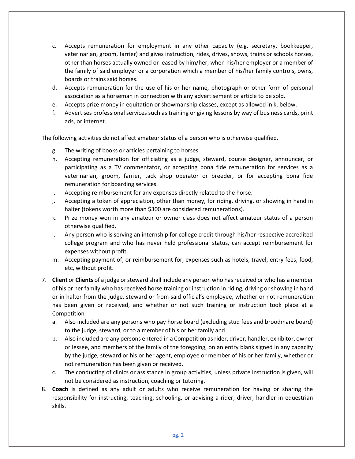- c. Accepts remuneration for employment in any other capacity (e.g. secretary, bookkeeper, veterinarian, groom, farrier) and gives instruction, rides, drives, shows, trains or schools horses, other than horses actually owned or leased by him/her, when his/her employer or a member of the family of said employer or a corporation which a member of his/her family controls, owns, boards or trains said horses.
- d. Accepts remuneration for the use of his or her name, photograph or other form of personal association as a horseman in connection with any advertisement or article to be sold.
- e. Accepts prize money in equitation or showmanship classes, except as allowed in k. below.
- f. Advertises professional services such as training or giving lessons by way of business cards, print ads, or internet.

The following activities do not affect amateur status of a person who is otherwise qualified.

- g. The writing of books or articles pertaining to horses.
- h. Accepting remuneration for officiating as a judge, steward, course designer, announcer, or participating as a TV commentator, or accepting bona fide remuneration for services as a veterinarian, groom, farrier, tack shop operator or breeder, or for accepting bona fide remuneration for boarding services.
- i. Accepting reimbursement for any expenses directly related to the horse.
- j. Accepting a token of appreciation, other than money, for riding, driving, or showing in hand in halter (tokens worth more than \$300 are considered remunerations).
- k. Prize money won in any amateur or owner class does not affect amateur status of a person otherwise qualified.
- l. Any person who is serving an internship for college credit through his/her respective accredited college program and who has never held professional status, can accept reimbursement for expenses without profit.
- m. Accepting payment of, or reimbursement for, expenses such as hotels, travel, entry fees, food, etc, without profit.
- 7. **Client** or **Clients** of a judge or steward shall include any person who has received or who has a member of his or her family who has received horse training or instruction in riding, driving or showing in hand or in halter from the judge, steward or from said official's employee, whether or not remuneration has been given or received, and whether or not such training or instruction took place at a Competition
	- a. Also included are any persons who pay horse board (excluding stud fees and broodmare board) to the judge, steward, or to a member of his or her family and
	- b. Also included are any persons entered in a Competition as rider, driver, handler, exhibitor, owner or lessee, and members of the family of the foregoing, on an entry blank signed in any capacity by the judge, steward or his or her agent, employee or member of his or her family, whether or not remuneration has been given or received.
	- c. The conducting of clinics or assistance in group activities, unless private instruction is given, will not be considered as instruction, coaching or tutoring.
- 8. **Coach** is defined as any adult or adults who receive remuneration for having or sharing the responsibility for instructing, teaching, schooling, or advising a rider, driver, handler in equestrian skills.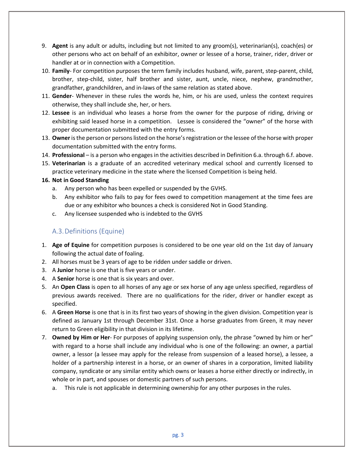- 9. **Agent** is any adult or adults, including but not limited to any groom(s), veterinarian(s), coach(es) or other persons who act on behalf of an exhibitor, owner or lessee of a horse, trainer, rider, driver or handler at or in connection with a Competition.
- 10. **Family** For competition purposes the term family includes husband, wife, parent, step-parent, child, brother, step-child, sister, half brother and sister, aunt, uncle, niece, nephew, grandmother, grandfather, grandchildren, and in-laws of the same relation as stated above.
- 11. **Gender** Whenever in these rules the words he, him, or his are used, unless the context requires otherwise, they shall include she, her, or hers.
- 12. **Lessee** is an individual who leases a horse from the owner for the purpose of riding, driving or exhibiting said leased horse in a competition. Lessee is considered the "owner" of the horse with proper documentation submitted with the entry forms.
- 13. **Owner**is the person or persons listed on the horse's registration or the lessee of the horse with proper documentation submitted with the entry forms.
- 14. **Professional** is a person who engages in the activities described in Definition 6.a. through 6.f. above.
- 15. **Veterinarian** is a graduate of an accredited veterinary medical school and currently licensed to practice veterinary medicine in the state where the licensed Competition is being held.

## **16. Not in Good Standing**

- a. Any person who has been expelled or suspended by the GVHS.
- b. Any exhibitor who fails to pay for fees owed to competition management at the time fees are due or any exhibitor who bounces a check is considered Not in Good Standing.
- c. Any licensee suspended who is indebted to the GVHS

# A.3.Definitions (Equine)

- 1. **Age of Equine** for competition purposes is considered to be one year old on the 1st day of January following the actual date of foaling.
- 2. All horses must be 3 years of age to be ridden under saddle or driven.
- 3. A **Junior** horse is one that is five years or under.
- 4. A **Senior** horse is one that is six years and over.
- 5. An **Open Class** is open to all horses of any age or sex horse of any age unless specified, regardless of previous awards received. There are no qualifications for the rider, driver or handler except as specified.
- 6. A **Green Horse** is one that is in its first two years of showing in the given division. Competition year is defined as January 1st through December 31st. Once a horse graduates from Green, it may never return to Green eligibility in that division in its lifetime.
- 7. **Owned by Him or Her** For purposes of applying suspension only, the phrase "owned by him or her" with regard to a horse shall include any individual who is one of the following: an owner, a partial owner, a lessor (a lessee may apply for the release from suspension of a leased horse), a lessee, a holder of a partnership interest in a horse, or an owner of shares in a corporation, limited liability company, syndicate or any similar entity which owns or leases a horse either directly or indirectly, in whole or in part, and spouses or domestic partners of such persons.
	- a. This rule is not applicable in determining ownership for any other purposes in the rules.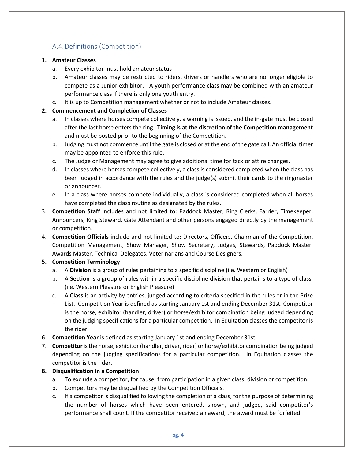# A.4.Definitions (Competition)

#### **1. Amateur Classes**

- a. Every exhibitor must hold amateur status
- b. Amateur classes may be restricted to riders, drivers or handlers who are no longer eligible to compete as a Junior exhibitor. A youth performance class may be combined with an amateur performance class if there is only one youth entry.
- c. It is up to Competition management whether or not to include Amateur classes.

## **2. Commencement and Completion of Classes**

- a. In classes where horses compete collectively, a warning is issued, and the in-gate must be closed after the last horse enters the ring. **Timing is at the discretion of the Competition management** and must be posted prior to the beginning of the Competition.
- b. Judging must not commence until the gate is closed or at the end of the gate call. An official timer may be appointed to enforce this rule.
- c. The Judge or Management may agree to give additional time for tack or attire changes.
- d. In classes where horses compete collectively, a class is considered completed when the class has been judged in accordance with the rules and the judge(s) submit their cards to the ringmaster or announcer.
- e. In a class where horses compete individually, a class is considered completed when all horses have completed the class routine as designated by the rules.
- 3. **Competition Staff** includes and not limited to: Paddock Master, Ring Clerks, Farrier, Timekeeper, Announcers, Ring Steward, Gate Attendant and other persons engaged directly by the management or competition.
- 4. **Competition Officials** include and not limited to: Directors, Officers, Chairman of the Competition, Competition Management, Show Manager, Show Secretary, Judges, Stewards, Paddock Master, Awards Master, Technical Delegates, Veterinarians and Course Designers.

## **5. Competition Terminology**

- a. A **Division** is a group of rules pertaining to a specific discipline (i.e. Western or English)
- b. A **Section** is a group of rules within a specific discipline division that pertains to a type of class. (i.e. Western Pleasure or English Pleasure)
- c. A **Class** is an activity by entries, judged according to criteria specified in the rules or in the Prize List. Competition Year is defined as starting January 1st and ending December 31st. Competitor is the horse, exhibitor (handler, driver) or horse/exhibitor combination being judged depending on the judging specifications for a particular competition. In Equitation classes the competitor is the rider.
- 6. **Competition Year** is defined as starting January 1st and ending December 31st.
- 7. **Competitor**is the horse, exhibitor (handler, driver, rider) or horse/exhibitor combination being judged depending on the judging specifications for a particular competition. In Equitation classes the competitor is the rider.

## **8. Disqualification in a Competition**

- a. To exclude a competitor, for cause, from participation in a given class, division or competition.
- b. Competitors may be disqualified by the Competition Officials.
- c. If a competitor is disqualified following the completion of a class, for the purpose of determining the number of horses which have been entered, shown, and judged, said competitor's performance shall count. If the competitor received an award, the award must be forfeited.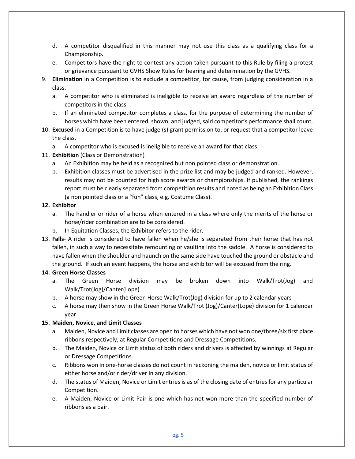- d. A competitor disqualified in this manner may not use this class as a qualifying class for a Championship.
- e. Competitors have the right to contest any action taken pursuant to this Rule by filing a protest or grievance pursuant to GVHS Show Rules for hearing and determination by the GVHS.
- 9. **Elimination** in a Competition is to exclude a competitor, for cause, from judging consideration in a class.
	- a. A competitor who is eliminated is ineligible to receive an award regardless of the number of competitors in the class.
	- b. If an eliminated competitor completes a class, for the purpose of determining the number of horses which have been entered, shown, and judged, said competitor's performance shall count.
- 10. **Excused** in a Competition is to have judge (s) grant permission to, or request that a competitor leave the class.
	- a. A competitor who is excused is ineligible to receive an award for that class.
- 11. **Exhibition** (Class or Demonstration)
	- a. An Exhibition may be held as a recognized but non pointed class or demonstration.
	- b. Exhibition classes must be advertised in the prize list and may be judged and ranked. However, results may not be counted for high score awards or championships. If published, the rankings report must be clearly separated from competition results and noted as being an Exhibition Class (a non pointed class or a "fun" class, e.g. Costume Class).

#### **12. Exhibitor**

- a. The handler or rider of a horse when entered in a class where only the merits of the horse or horse/rider combination are to be considered.
- b. In Equitation Classes, the Exhibitor refers to the rider.
- 13. **Falls** A rider is considered to have fallen when he/she is separated from their horse that has not fallen, in such a way to necessitate remounting or vaulting into the saddle. A horse is considered to have fallen when the shoulder and haunch on the same side have touched the ground or obstacle and the ground. If such an event happens, the horse and exhibitor will be excused from the ring.

## **14. Green Horse Classes**

- a. The Green Horse division may be broken down into Walk/Trot(Jog) and Walk/Trot(Jog)/Canter(Lope)
- b. A horse may show in the Green Horse Walk/Trot(Jog) division for up to 2 calendar years
- c. A horse may then show in the Green Horse Walk/Trot (Jog)/Canter(Lope) division for 1 calendar year

## **15. Maiden, Novice, and Limit Classes**

- a. Maiden, Novice and Limit classes are open to horses which have not won one/three/six first place ribbons respectively, at Regular Competitions and Dressage Competitions.
- b. The Maiden, Novice or Limit status of both riders and drivers is affected by winnings at Regular or Dressage Competitions.
- c. Ribbons won in one-horse classes do not count in reckoning the maiden, novice or limit status of either horse and/or rider/driver in any division.
- d. The status of Maiden, Novice or Limit entries is as of the closing date of entries for any particular Competition.
- e. A Maiden, Novice or Limit Pair is one which has not won more than the specified number of ribbons as a pair.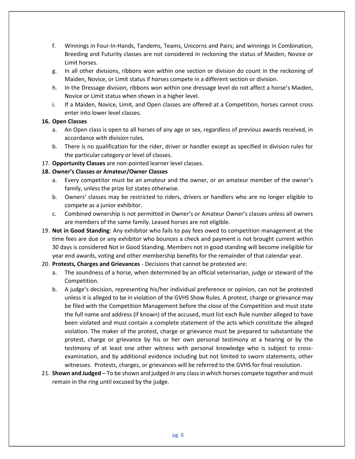- f. Winnings in Four-In-Hands, Tandems, Teams, Unicorns and Pairs; and winnings in Combination, Breeding and Futurity classes are not considered in reckoning the status of Maiden, Novice or Limit horses.
- g. In all other divisions, ribbons won within one section or division do count in the reckoning of Maiden, Novice, or Limit status if horses compete in a different section or division.
- h. In the Dressage division, ribbons won within one dressage level do not affect a horse's Maiden, Novice or Limit status when shown in a higher level.
- i. If a Maiden, Novice, Limit, and Open classes are offered at a Competition, horses cannot cross enter into lower level classes.

#### **16. Open Classes**

- a. An Open class is open to all horses of any age or sex, regardless of previous awards received, in accordance with division rules.
- b. There is no qualification for the rider, driver or handler except as specified in division rules for the particular category or level of classes.
- 17. **Opportunity Classes** are non-pointed learner level classes.

## **18. Owner's Classes or Amateur/Owner Classes**

- a. Every competitor must be an amateur and the owner, or an amateur member of the owner's family, unless the prize list states otherwise.
- b. Owners' classes may be restricted to riders, drivers or handlers who are no longer eligible to compete as a junior exhibitor.
- c. Combined ownership is not permitted in Owner's or Amateur Owner's classes unless all owners are members of the same family. Leased horses are not eligible.
- 19. **Not in Good Standing**: Any exhibitor who fails to pay fees owed to competition management at the time fees are due or any exhibitor who bounces a check and payment is not brought current within 30 days is considered Not in Good Standing. Members not in good standing will become ineligible for year end awards, voting and other membership benefits for the remainder of that calendar year.
- 20. **Protests, Charges and Grievances** Decisions that cannot be protested are:
	- a. The soundness of a horse, when determined by an official veterinarian, judge or steward of the Competition.
	- b. A judge's decision, representing his/her individual preference or opinion, can not be protested unless it is alleged to be in violation of the GVHS Show Rules. A protest, charge or grievance may be filed with the Competition Management before the close of the Competition and must state the full name and address (if known) of the accused, must list each Rule number alleged to have been violated and must contain a complete statement of the acts which constitute the alleged violation. The maker of the protest, charge or grievance must be prepared to substantiate the protest, charge or grievance by his or her own personal testimony at a hearing or by the testimony of at least one other witness with personal knowledge who is subject to crossexamination, and by additional evidence including but not limited to sworn statements, other witnesses. Protests, charges, or grievances will be referred to the GVHS for final resolution.
- 21. **Shown and Judged**  To be shown and judged in any class in which horses compete together and must remain in the ring until excused by the judge.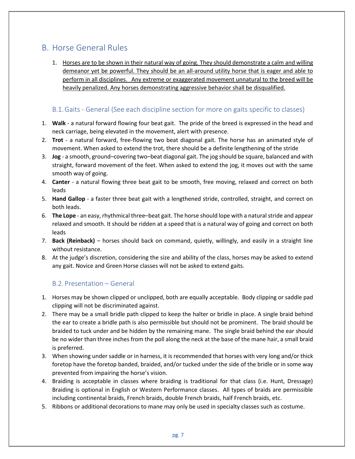# B. Horse General Rules

1. Horses are to be shown in their natural way of going. They should demonstrate a calm and willing demeanor yet be powerful. They should be an all-around utility horse that is eager and able to perform in all disciplines. Any extreme or exaggerated movement unnatural to the breed will be heavily penalized. Any horses demonstrating aggressive behavior shall be disqualified.

# B.1.Gaits - General (See each discipline section for more on gaits specific to classes)

- 1. **Walk** a natural forward flowing four beat gait. The pride of the breed is expressed in the head and neck carriage, being elevated in the movement, alert with presence.
- 2. **Trot** a natural forward, free-flowing two beat diagonal gait. The horse has an animated style of movement. When asked to extend the trot, there should be a definite lengthening of the stride
- 3. **Jog**  a smooth, ground–covering two–beat diagonal gait. The jog should be square, balanced and with straight, forward movement of the feet. When asked to extend the jog, it moves out with the same smooth way of going.
- 4. **Canter**  a natural flowing three beat gait to be smooth, free moving, relaxed and correct on both leads
- 5. **Hand Gallop** a faster three beat gait with a lengthened stride, controlled, straight, and correct on both leads.
- 6. **The Lope** an easy, rhythmical three–beat gait. The horse should lope with a natural stride and appear relaxed and smooth. It should be ridden at a speed that is a natural way of going and correct on both leads
- 7. **Back (Reinback)** horses should back on command, quietly, willingly, and easily in a straight line without resistance.
- 8. At the judge's discretion, considering the size and ability of the class, horses may be asked to extend any gait. Novice and Green Horse classes will not be asked to extend gaits.

# B.2. Presentation – General

- 1. Horses may be shown clipped or unclipped, both are equally acceptable. Body clipping or saddle pad clipping will not be discriminated against.
- 2. There may be a small bridle path clipped to keep the halter or bridle in place. A single braid behind the ear to create a bridle path is also permissible but should not be prominent. The braid should be braided to tuck under and be hidden by the remaining mane. The single braid behind the ear should be no wider than three inches from the poll along the neck at the base of the mane hair, a small braid is preferred.
- 3. When showing under saddle or in harness, it is recommended that horses with very long and/or thick foretop have the foretop banded, braided, and/or tucked under the side of the bridle or in some way prevented from impairing the horse's vision.
- 4. Braiding is acceptable in classes where braiding is traditional for that class (i.e. Hunt, Dressage) Braiding is optional in English or Western Performance classes. All types of braids are permissible including continental braids, French braids, double French braids, half French braids, etc.
- 5. Ribbons or additional decorations to mane may only be used in specialty classes such as costume.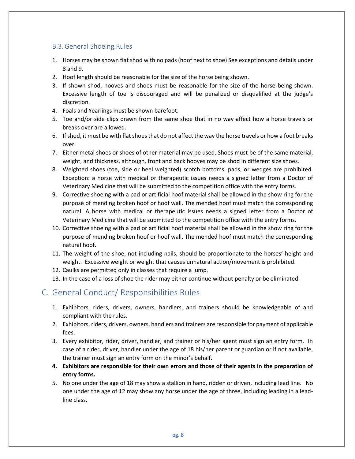# B.3.General Shoeing Rules

- 1. Horses may be shown flat shod with no pads (hoof next to shoe) See exceptions and details under 8 and 9.
- 2. Hoof length should be reasonable for the size of the horse being shown.
- 3. If shown shod, hooves and shoes must be reasonable for the size of the horse being shown. Excessive length of toe is discouraged and will be penalized or disqualified at the judge's discretion.
- 4. Foals and Yearlings must be shown barefoot.
- 5. Toe and/or side clips drawn from the same shoe that in no way affect how a horse travels or breaks over are allowed.
- 6. If shod, it must be with flat shoes that do not affect the way the horse travels or how a foot breaks over.
- 7. Either metal shoes or shoes of other material may be used. Shoes must be of the same material, weight, and thickness, although, front and back hooves may be shod in different size shoes.
- 8. Weighted shoes (toe, side or heel weighted) scotch bottoms, pads, or wedges are prohibited. Exception: a horse with medical or therapeutic issues needs a signed letter from a Doctor of Veterinary Medicine that will be submitted to the competition office with the entry forms.
- 9. Corrective shoeing with a pad or artificial hoof material shall be allowed in the show ring for the purpose of mending broken hoof or hoof wall. The mended hoof must match the corresponding natural. A horse with medical or therapeutic issues needs a signed letter from a Doctor of Veterinary Medicine that will be submitted to the competition office with the entry forms.
- 10. Corrective shoeing with a pad or artificial hoof material shall be allowed in the show ring for the purpose of mending broken hoof or hoof wall. The mended hoof must match the corresponding natural hoof.
- 11. The weight of the shoe, not including nails, should be proportionate to the horses' height and weight. Excessive weight or weight that causes unnatural action/movement is prohibited.
- 12. Caulks are permitted only in classes that require a jump.
- 13. In the case of a loss of shoe the rider may either continue without penalty or be eliminated.

# C. General Conduct/ Responsibilities Rules

- 1. Exhibitors, riders, drivers, owners, handlers, and trainers should be knowledgeable of and compliant with the rules.
- 2. Exhibitors, riders, drivers, owners, handlers and trainers are responsible for payment of applicable fees.
- 3. Every exhibitor, rider, driver, handler, and trainer or his/her agent must sign an entry form. In case of a rider, driver, handler under the age of 18 his/her parent or guardian or if not available, the trainer must sign an entry form on the minor's behalf.
- **4. Exhibitors are responsible for their own errors and those of their agents in the preparation of entry forms.**
- 5. No one under the age of 18 may show a stallion in hand, ridden or driven, including lead line. No one under the age of 12 may show any horse under the age of three, including leading in a leadline class.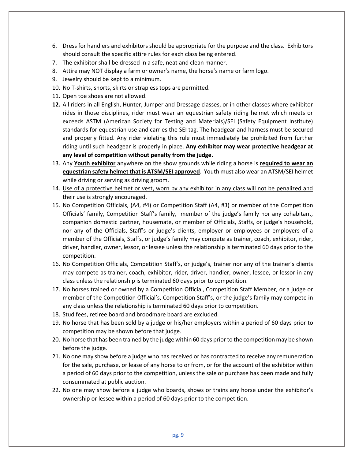- 6. Dress for handlers and exhibitors should be appropriate for the purpose and the class. Exhibitors should consult the specific attire rules for each class being entered.
- 7. The exhibitor shall be dressed in a safe, neat and clean manner.
- 8. Attire may NOT display a farm or owner's name, the horse's name or farm logo.
- 9. Jewelry should be kept to a minimum.
- 10. No T-shirts, shorts, skirts or strapless tops are permitted.
- 11. Open toe shoes are not allowed.
- **12.** All riders in all English, Hunter, Jumper and Dressage classes, or in other classes where exhibitor rides in those disciplines, rider must wear an equestrian safety riding helmet which meets or exceeds ASTM (American Society for Testing and Materials)/SEI (Safety Equipment Institute) standards for equestrian use and carries the SEI tag. The headgear and harness must be secured and properly fitted. Any rider violating this rule must immediately be prohibited from further riding until such headgear is properly in place. **Any exhibitor may wear protective headgear at any level of competition without penalty from the judge.**
- 13. Any **Youth exhibitor** anywhere on the show grounds while riding a horse is **required to wear an equestrian safety helmet that is ATSM/SEI approved**. Youth must also wear an ATSM/SEI helmet while driving or serving as driving groom.
- 14. Use of a protective helmet or vest, worn by any exhibitor in any class will not be penalized and their use is strongly encouraged.
- 15. No Competition Officials, (A4, #4) or Competition Staff (A4, #3) or member of the Competition Officials' family, Competition Staff's family, member of the judge's family nor any cohabitant, companion domestic partner, housemate, or member of Officials, Staffs, or judge's household, nor any of the Officials, Staff's or judge's clients, employer or employees or employers of a member of the Officials, Staffs, or judge's family may compete as trainer, coach, exhibitor, rider, driver, handler, owner, lessor, or lessee unless the relationship is terminated 60 days prior to the competition.
- 16. No Competition Officials, Competition Staff's, or judge's, trainer nor any of the trainer's clients may compete as trainer, coach, exhibitor, rider, driver, handler, owner, lessee, or lessor in any class unless the relationship is terminated 60 days prior to competition.
- 17. No horses trained or owned by a Competition Official, Competition Staff Member, or a judge or member of the Competition Official's, Competition Staff's, or the judge's family may compete in any class unless the relationship is terminated 60 days prior to competition.
- 18. Stud fees, retiree board and broodmare board are excluded.
- 19. No horse that has been sold by a judge or his/her employers within a period of 60 days prior to competition may be shown before that judge.
- 20. No horse that has been trained by the judge within 60 days prior to the competition may be shown before the judge.
- 21. No one may show before a judge who has received or has contracted to receive any remuneration for the sale, purchase, or lease of any horse to or from, or for the account of the exhibitor within a period of 60 days prior to the competition, unless the sale or purchase has been made and fully consummated at public auction.
- 22. No one may show before a judge who boards, shows or trains any horse under the exhibitor's ownership or lessee within a period of 60 days prior to the competition.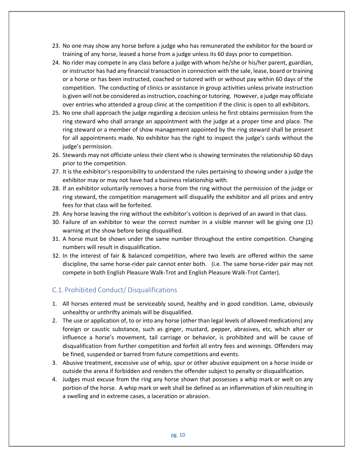- 23. No one may show any horse before a judge who has remunerated the exhibitor for the board or training of any horse, leased a horse from a judge unless its 60 days prior to competition.
- 24. No rider may compete in any class before a judge with whom he/she or his/her parent, guardian, or instructor has had any financial transaction in connection with the sale, lease, board or training or a horse or has been instructed, coached or tutored with or without pay within 60 days of the competition. The conducting of clinics or assistance in group activities unless private instruction is given will not be considered as instruction, coaching or tutoring. However, a judge may officiate over entries who attended a group clinic at the competition if the clinic is open to all exhibitors.
- 25. No one shall approach the judge regarding a decision unless he first obtains permission from the ring steward who shall arrange an appointment with the judge at a proper time and place. The ring steward or a member of show management appointed by the ring steward shall be present for all appointments made. No exhibitor has the right to inspect the judge's cards without the judge's permission.
- 26. Stewards may not officiate unless their client who is showing terminates the relationship 60 days prior to the competition.
- 27. It is the exhibitor's responsibility to understand the rules pertaining to showing under a judge the exhibitor may or may not have had a business relationship with.
- 28. If an exhibitor voluntarily removes a horse from the ring without the permission of the judge or ring steward, the competition management will disqualify the exhibitor and all prizes and entry fees for that class will be forfeited.
- 29. Any horse leaving the ring without the exhibitor's volition is deprived of an award in that class.
- 30. Failure of an exhibitor to wear the correct number in a visible manner will be giving one (1) warning at the show before being disqualified.
- 31. A horse must be shown under the same number throughout the entire competition. Changing numbers will result in disqualification.
- 32. In the interest of fair & balanced competition, where two levels are offered within the same discipline, the same horse-rider pair cannot enter both. (i.e. The same horse-rider pair may not compete in both English Pleasure Walk-Trot and English Pleasure Walk-Trot Canter).

## C.1. Prohibited Conduct/ Disqualifications

- 1. All horses entered must be serviceably sound, healthy and in good condition. Lame, obviously unhealthy or unthrifty animals will be disqualified.
- 2. The use or application of, to or into any horse (other than legal levels of allowed medications) any foreign or caustic substance, such as ginger, mustard, pepper, abrasives, etc, which alter or influence a horse's movement, tail carriage or behavior, is prohibited and will be cause of disqualification from further competition and forfeit all entry fees and winnings. Offenders may be fined, suspended or barred from future competitions and events.
- 3. Abusive treatment, excessive use of whip, spur or other abusive equipment on a horse inside or outside the arena if forbidden and renders the offender subject to penalty or disqualification.
- 4. Judges must excuse from the ring any horse shown that possesses a whip mark or welt on any portion of the horse. A whip mark or welt shall be defined as an inflammation of skin resulting in a swelling and in extreme cases, a laceration or abrasion.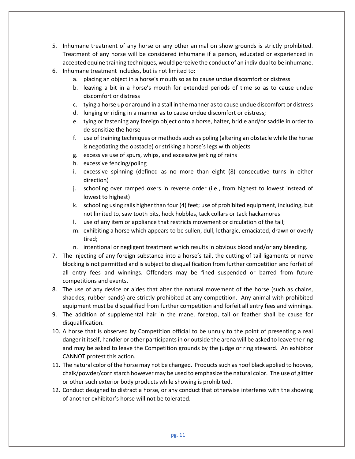- 5. Inhumane treatment of any horse or any other animal on show grounds is strictly prohibited. Treatment of any horse will be considered inhumane if a person, educated or experienced in accepted equine training techniques, would perceive the conduct of an individual to be inhumane.
- 6. Inhumane treatment includes, but is not limited to:
	- a. placing an object in a horse's mouth so as to cause undue discomfort or distress
	- b. leaving a bit in a horse's mouth for extended periods of time so as to cause undue discomfort or distress
	- c. tying a horse up or around in a stall in the manner as to cause undue discomfort or distress
	- d. lunging or riding in a manner as to cause undue discomfort or distress;
	- e. tying or fastening any foreign object onto a horse, halter, bridle and/or saddle in order to de-sensitize the horse
	- f. use of training techniques or methods such as poling (altering an obstacle while the horse is negotiating the obstacle) or striking a horse's legs with objects
	- g. excessive use of spurs, whips, and excessive jerking of reins
	- h. excessive fencing/poling
	- i. excessive spinning (defined as no more than eight (8) consecutive turns in either direction)
	- j. schooling over ramped oxers in reverse order (i.e., from highest to lowest instead of lowest to highest)
	- k. schooling using rails higher than four (4) feet; use of prohibited equipment, including, but not limited to, saw tooth bits, hock hobbles, tack collars or tack hackamores
	- l. use of any item or appliance that restricts movement or circulation of the tail;
	- m. exhibiting a horse which appears to be sullen, dull, lethargic, emaciated, drawn or overly tired;
	- n. intentional or negligent treatment which results in obvious blood and/or any bleeding.
- 7. The injecting of any foreign substance into a horse's tail, the cutting of tail ligaments or nerve blocking is not permitted and is subject to disqualification from further competition and forfeit of all entry fees and winnings. Offenders may be fined suspended or barred from future competitions and events.
- 8. The use of any device or aides that alter the natural movement of the horse (such as chains, shackles, rubber bands) are strictly prohibited at any competition. Any animal with prohibited equipment must be disqualified from further competition and forfeit all entry fees and winnings.
- 9. The addition of supplemental hair in the mane, foretop, tail or feather shall be cause for disqualification.
- 10. A horse that is observed by Competition official to be unruly to the point of presenting a real danger it itself, handler or other participants in or outside the arena will be asked to leave the ring and may be asked to leave the Competition grounds by the judge or ring steward. An exhibitor CANNOT protest this action.
- 11. The natural color of the horse may not be changed. Products such as hoof black applied to hooves, chalk/powder/corn starch however may be used to emphasize the natural color. The use of glitter or other such exterior body products while showing is prohibited.
- 12. Conduct designed to distract a horse, or any conduct that otherwise interferes with the showing of another exhibitor's horse will not be tolerated.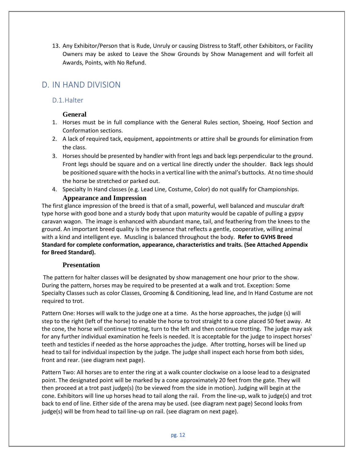13. Any Exhibitor/Person that is Rude, Unruly or causing Distress to Staff, other Exhibitors, or Facility Owners may be asked to Leave the Show Grounds by Show Management and will forfeit all Awards, Points, with No Refund.

# D. IN HAND DIVISION

## D.1.Halter

# **General**

- 1. Horses must be in full compliance with the General Rules section, Shoeing, Hoof Section and Conformation sections.
- 2. A lack of required tack, equipment, appointments or attire shall be grounds for elimination from the class.
- 3. Horses should be presented by handler with front legs and back legs perpendicular to the ground. Front legs should be square and on a vertical line directly under the shoulder. Back legs should be positioned square with the hocks in a vertical line with the animal's buttocks. At no time should the horse be stretched or parked out.
- 4. Specialty In Hand classes (e.g. Lead Line, Costume, Color) do not qualify for Championships. **Appearance and Impression**

The first glance impression of the breed is that of a small, powerful, well balanced and muscular draft type horse with good bone and a sturdy body that upon maturity would be capable of pulling a gypsy caravan wagon. The image is enhanced with abundant mane, tail, and feathering from the knees to the ground. An important breed quality is the presence that reflects a gentle, cooperative, willing animal with a kind and intelligent eye. Muscling is balanced throughout the body. **Refer to GVHS Breed Standard for complete conformation, appearance, characteristics and traits. (See Attached Appendix for Breed Standard).**

## **Presentation**

The pattern for halter classes will be designated by show management one hour prior to the show. During the pattern, horses may be required to be presented at a walk and trot. Exception: Some Specialty Classes such as color Classes, Grooming & Conditioning, lead line, and In Hand Costume are not required to trot.

Pattern One: Horses will walk to the judge one at a time. As the horse approaches, the judge (s) will step to the right (left of the horse) to enable the horse to trot straight to a cone placed 50 feet away. At the cone, the horse will continue trotting, turn to the left and then continue trotting. The judge may ask for any further individual examination he feels is needed. It is acceptable for the judge to inspect horses' teeth and testicles if needed as the horse approaches the judge. After trotting, horses will be lined up head to tail for individual inspection by the judge. The judge shall inspect each horse from both sides, front and rear. (see diagram next page).

Pattern Two: All horses are to enter the ring at a walk counter clockwise on a loose lead to a designated point. The designated point will be marked by a cone approximately 20 feet from the gate. They will then proceed at a trot past judge(s) (to be viewed from the side in motion). Judging will begin at the cone. Exhibitors will line up horses head to tail along the rail. From the line-up, walk to judge(s) and trot back to end of line. Either side of the arena may be used. (see diagram next page) Second looks from judge(s) will be from head to tail line-up on rail. (see diagram on next page).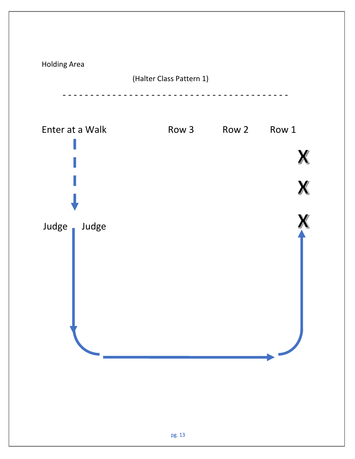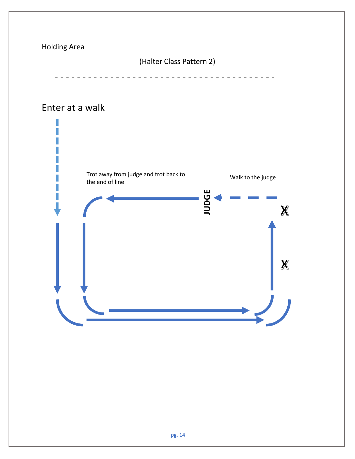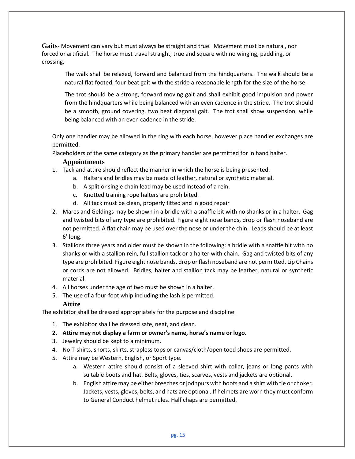**Gaits**- Movement can vary but must always be straight and true. Movement must be natural, nor forced or artificial. The horse must travel straight, true and square with no winging, paddling, or crossing.

The walk shall be relaxed, forward and balanced from the hindquarters. The walk should be a natural flat footed, four beat gait with the stride a reasonable length for the size of the horse.

The trot should be a strong, forward moving gait and shall exhibit good impulsion and power from the hindquarters while being balanced with an even cadence in the stride. The trot should be a smooth, ground covering, two beat diagonal gait. The trot shall show suspension, while being balanced with an even cadence in the stride.

Only one handler may be allowed in the ring with each horse, however place handler exchanges are permitted.

Placeholders of the same category as the primary handler are permitted for in hand halter.

#### **Appointments**

- 1. Tack and attire should reflect the manner in which the horse is being presented.
	- a. Halters and bridles may be made of leather, natural or synthetic material.
	- b. A split or single chain lead may be used instead of a rein.
	- c. Knotted training rope halters are prohibited.
	- d. All tack must be clean, properly fitted and in good repair
- 2. Mares and Geldings may be shown in a bridle with a snaffle bit with no shanks or in a halter. Gag and twisted bits of any type are prohibited. Figure eight nose bands, drop or flash noseband are not permitted. A flat chain may be used over the nose or under the chin. Leads should be at least 6' long.
- 3. Stallions three years and older must be shown in the following: a bridle with a snaffle bit with no shanks or with a stallion rein, full stallion tack or a halter with chain. Gag and twisted bits of any type are prohibited. Figure eight nose bands, drop or flash noseband are not permitted. Lip Chains or cords are not allowed. Bridles, halter and stallion tack may be leather, natural or synthetic material.
- 4. All horses under the age of two must be shown in a halter.
- 5. The use of a four-foot whip including the lash is permitted.

#### **Attire**

The exhibitor shall be dressed appropriately for the purpose and discipline.

- 1. The exhibitor shall be dressed safe, neat, and clean.
- **2. Attire may not display a farm or owner's name, horse's name or logo.**
- 3. Jewelry should be kept to a minimum.
- 4. No T-shirts, shorts, skirts, strapless tops or canvas/cloth/open toed shoes are permitted.
- 5. Attire may be Western, English, or Sport type.
	- a. Western attire should consist of a sleeved shirt with collar, jeans or long pants with suitable boots and hat. Belts, gloves, ties, scarves, vests and jackets are optional.
	- b. English attire may be either breeches or jodhpurs with boots and a shirt with tie or choker. Jackets, vests, gloves, belts, and hats are optional. If helmets are worn they must conform to General Conduct helmet rules. Half chaps are permitted.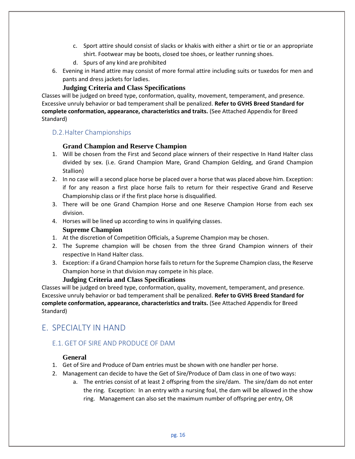- c. Sport attire should consist of slacks or khakis with either a shirt or tie or an appropriate shirt. Footwear may be boots, closed toe shoes, or leather running shoes.
- d. Spurs of any kind are prohibited
- 6. Evening in Hand attire may consist of more formal attire including suits or tuxedos for men and pants and dress jackets for ladies.

#### **Judging Criteria and Class Specifications**

Classes will be judged on breed type, conformation, quality, movement, temperament, and presence. Excessive unruly behavior or bad temperament shall be penalized. **Refer to GVHS Breed Standard for complete conformation, appearance, characteristics and traits.** (See Attached Appendix for Breed Standard)

## D.2.Halter Championships

#### **Grand Champion and Reserve Champion**

- 1. Will be chosen from the First and Second place winners of their respective In Hand Halter class divided by sex. (i.e. Grand Champion Mare, Grand Champion Gelding, and Grand Champion Stallion)
- 2. In no case will a second place horse be placed over a horse that was placed above him. Exception: if for any reason a first place horse fails to return for their respective Grand and Reserve Championship class or if the first place horse is disqualified.
- 3. There will be one Grand Champion Horse and one Reserve Champion Horse from each sex division.
- 4. Horses will be lined up according to wins in qualifying classes.

#### **Supreme Champion**

- 1. At the discretion of Competition Officials, a Supreme Champion may be chosen.
- 2. The Supreme champion will be chosen from the three Grand Champion winners of their respective In Hand Halter class.
- 3. Exception: if a Grand Champion horse fails to return for the Supreme Champion class, the Reserve Champion horse in that division may compete in his place.

#### **Judging Criteria and Class Specifications**

Classes will be judged on breed type, conformation, quality, movement, temperament, and presence. Excessive unruly behavior or bad temperament shall be penalized. **Refer to GVHS Breed Standard for complete conformation, appearance, characteristics and traits.** (See Attached Appendix for Breed Standard)

# E. SPECIALTY IN HAND

## E.1. GET OF SIRE AND PRODUCE OF DAM

#### **General**

- 1. Get of Sire and Produce of Dam entries must be shown with one handler per horse.
- 2. Management can decide to have the Get of Sire/Produce of Dam class in one of two ways:
	- a. The entries consist of at least 2 offspring from the sire/dam. The sire/dam do not enter the ring. Exception: In an entry with a nursing foal, the dam will be allowed in the show ring. Management can also set the maximum number of offspring per entry, OR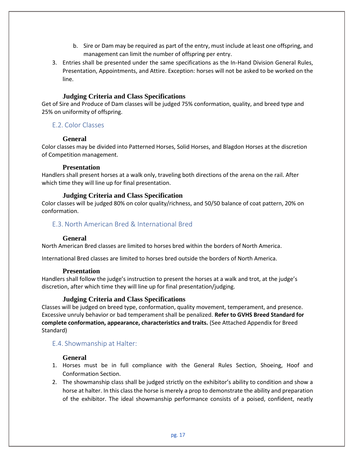- b. Sire or Dam may be required as part of the entry, must include at least one offspring, and management can limit the number of offspring per entry.
- 3. Entries shall be presented under the same specifications as the In-Hand Division General Rules, Presentation, Appointments, and Attire. Exception: horses will not be asked to be worked on the line.

#### **Judging Criteria and Class Specifications**

Get of Sire and Produce of Dam classes will be judged 75% conformation, quality, and breed type and 25% on uniformity of offspring.

## E.2. Color Classes

#### **General**

Color classes may be divided into Patterned Horses, Solid Horses, and Blagdon Horses at the discretion of Competition management.

#### **Presentation**

Handlers shall present horses at a walk only, traveling both directions of the arena on the rail. After which time they will line up for final presentation.

#### **Judging Criteria and Class Specification**

Color classes will be judged 80% on color quality/richness, and 50/50 balance of coat pattern, 20% on conformation.

# E.3. North American Bred & International Bred

## **General**

North American Bred classes are limited to horses bred within the borders of North America.

International Bred classes are limited to horses bred outside the borders of North America.

#### **Presentation**

Handlers shall follow the judge's instruction to present the horses at a walk and trot, at the judge's discretion, after which time they will line up for final presentation/judging.

## **Judging Criteria and Class Specifications**

Classes will be judged on breed type, conformation, quality movement, temperament, and presence. Excessive unruly behavior or bad temperament shall be penalized. **Refer to GVHS Breed Standard for complete conformation, appearance, characteristics and traits.** (See Attached Appendix for Breed Standard)

#### E.4. Showmanship at Halter:

#### **General**

- 1. Horses must be in full compliance with the General Rules Section, Shoeing, Hoof and Conformation Section.
- 2. The showmanship class shall be judged strictly on the exhibitor's ability to condition and show a horse at halter. In this class the horse is merely a prop to demonstrate the ability and preparation of the exhibitor. The ideal showmanship performance consists of a poised, confident, neatly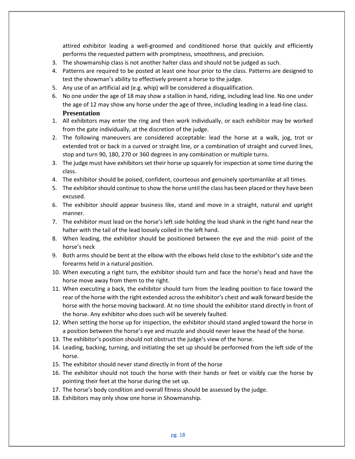attired exhibitor leading a well-groomed and conditioned horse that quickly and efficiently performs the requested pattern with promptness, smoothness, and precision.

- 3. The showmanship class is not another halter class and should not be judged as such.
- 4. Patterns are required to be posted at least one hour prior to the class. Patterns are designed to test the showman's ability to effectively present a horse to the judge.
- 5. Any use of an artificial aid (e.g. whip) will be considered a disqualification.
- 6. No one under the age of 18 may show a stallion in hand, riding, including lead line. No one under the age of 12 may show any horse under the age of three, including leading in a lead-line class. **Presentation**
- 1. All exhibitors may enter the ring and then work individually, or each exhibitor may be worked from the gate individually, at the discretion of the judge.
- 2. The following maneuvers are considered acceptable: lead the horse at a walk, jog, trot or extended trot or back in a curved or straight line, or a combination of straight and curved lines, stop and turn 90, 180, 270 or 360 degrees in any combination or multiple turns.
- 3. The judge must have exhibitors set their horse up squarely for inspection at some time during the class.
- 4. The exhibitor should be poised, confident, courteous and genuinely sportsmanlike at all times.
- 5. The exhibitor should continue to show the horse until the class has been placed or they have been excused.
- 6. The exhibitor should appear business like, stand and move in a straight, natural and upright manner.
- 7. The exhibitor must lead on the horse's left side holding the lead shank in the right hand near the halter with the tail of the lead loosely coiled in the left hand.
- 8. When leading, the exhibitor should be positioned between the eye and the mid- point of the horse's neck
- 9. Both arms should be bent at the elbow with the elbows held close to the exhibitor's side and the forearms held in a natural position.
- 10. When executing a right turn, the exhibitor should turn and face the horse's head and have the horse move away from them to the right.
- 11. When executing a back, the exhibitor should turn from the leading position to face toward the rear of the horse with the right extended across the exhibitor's chest and walk forward beside the horse with the horse moving backward. At no time should the exhibitor stand directly in front of the horse. Any exhibitor who does such will be severely faulted.
- 12. When setting the horse up for inspection, the exhibitor should stand angled toward the horse in a position between the horse's eye and muzzle and should never leave the head of the horse.
- 13. The exhibitor's position should not obstruct the judge's view of the horse.
- 14. Leading, backing, turning, and initiating the set up should be performed from the left side of the horse.
- 15. The exhibitor should never stand directly in front of the horse
- 16. The exhibitor should not touch the horse with their hands or feet or visibly cue the horse by pointing their feet at the horse during the set up.
- 17. The horse's body condition and overall fitness should be assessed by the judge.
- 18. Exhibitors may only show one horse in Showmanship.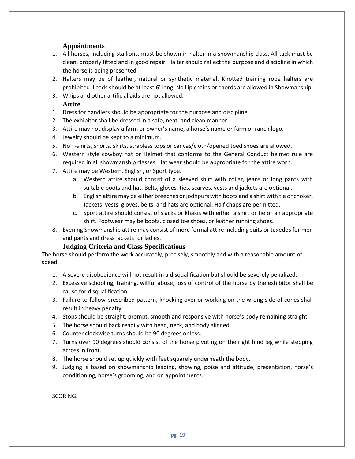## **Appointments**

- 1. All horses, including stallions, must be shown in halter in a showmanship class. All tack must be clean, properly fitted and in good repair. Halter should reflect the purpose and discipline in which the horse is being presented
- 2. Halters may be of leather, natural or synthetic material. Knotted training rope halters are prohibited. Leads should be at least 6' long. No Lip chains or chords are allowed in Showmanship.
- 3. Whips and other artificial aids are not allowed.

## **Attire**

- 1. Dress for handlers should be appropriate for the purpose and discipline.
- 2. The exhibitor shall be dressed in a safe, neat, and clean manner.
- 3. Attire may not display a farm or owner's name, a horse's name or farm or ranch logo.
- 4. Jewelry should be kept to a minimum.
- 5. No T-shirts, shorts, skirts, strapless tops or canvas/cloth/opened toed shoes are allowed.
- 6. Western style cowboy hat or Helmet that conforms to the General Conduct helmet rule are required in all showmanship classes. Hat wear should be appropriate for the attire worn.
- 7. Attire may be Western, English, or Sport type.
	- a. Western attire should consist of a sleeved shirt with collar, jeans or long pants with suitable boots and hat. Belts, gloves, ties, scarves, vests and jackets are optional.
	- b. English attire may be either breeches or jodhpurs with boots and a shirt with tie or choker. Jackets, vests, gloves, belts, and hats are optional. Half chaps are permitted.
	- c. Sport attire should consist of slacks or khakis with either a shirt or tie or an appropriate shirt. Footwear may be boots, closed toe shoes, or leather running shoes.
- 8. Evening Showmanship attire may consist of more formal attire including suits or tuxedos for men and pants and dress jackets for ladies.

## **Judging Criteria and Class Specifications**

The horse should perform the work accurately, precisely, smoothly and with a reasonable amount of speed.

- 1. A severe disobedience will not result in a disqualification but should be severely penalized.
- 2. Excessive schooling, training, willful abuse, loss of control of the horse by the exhibitor shall be cause for disqualification.
- 3. Failure to follow prescribed pattern, knocking over or working on the wrong side of cones shall result in heavy penalty.
- 4. Stops should be straight, prompt, smooth and responsive with horse's body remaining straight
- 5. The horse should back readily with head, neck, and body aligned.
- 6. Counter clockwise turns should be 90 degrees or less.
- 7. Turns over 90 degrees should consist of the horse pivoting on the right hind leg while stepping across in front.
- 8. The horse should set up quickly with feet squarely underneath the body.
- 9. Judging is based on showmanship leading, showing, poise and attitude, presentation, horse's conditioning, horse's grooming, and on appointments.

SCORING.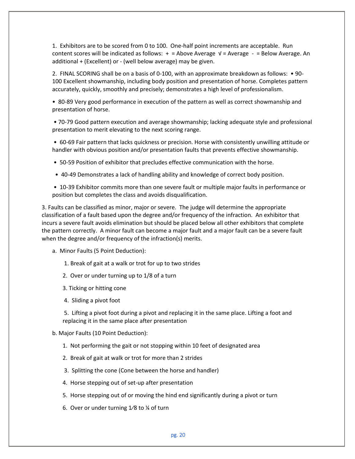1. Exhibitors are to be scored from 0 to 100. One-half point increments are acceptable. Run content scores will be indicated as follows:  $+$  = Above Average  $\sqrt{ }$  = Average - = Below Average. An additional + (Excellent) or - (well below average) may be given.

2. FINAL SCORING shall be on a basis of 0-100, with an approximate breakdown as follows: • 90- 100 Excellent showmanship, including body position and presentation of horse. Completes pattern accurately, quickly, smoothly and precisely; demonstrates a high level of professionalism.

• 80-89 Very good performance in execution of the pattern as well as correct showmanship and presentation of horse.

• 70-79 Good pattern execution and average showmanship; lacking adequate style and professional presentation to merit elevating to the next scoring range.

• 60-69 Fair pattern that lacks quickness or precision. Horse with consistently unwilling attitude or handler with obvious position and/or presentation faults that prevents effective showmanship.

• 50-59 Position of exhibitor that precludes effective communication with the horse.

• 40-49 Demonstrates a lack of handling ability and knowledge of correct body position.

• 10-39 Exhibitor commits more than one severe fault or multiple major faults in performance or position but completes the class and avoids disqualification.

3. Faults can be classified as minor, major or severe. The judge will determine the appropriate classification of a fault based upon the degree and/or frequency of the infraction. An exhibitor that incurs a severe fault avoids elimination but should be placed below all other exhibitors that complete the pattern correctly. A minor fault can become a major fault and a major fault can be a severe fault when the degree and/or frequency of the infraction(s) merits.

a. Minor Faults (5 Point Deduction):

1. Break of gait at a walk or trot for up to two strides

- 2. Over or under turning up to 1/8 of a turn
- 3. Ticking or hitting cone
- 4. Sliding a pivot foot

5. Lifting a pivot foot during a pivot and replacing it in the same place. Lifting a foot and replacing it in the same place after presentation

#### b. Major Faults (10 Point Deduction):

- 1. Not performing the gait or not stopping within 10 feet of designated area
- 2. Break of gait at walk or trot for more than 2 strides
- 3. Splitting the cone (Cone between the horse and handler)
- 4. Horse stepping out of set-up after presentation
- 5. Horse stepping out of or moving the hind end significantly during a pivot or turn
- 6. Over or under turning 1⁄8 to ¼ of turn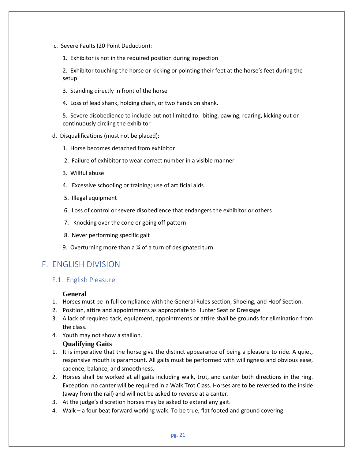- c. Severe Faults (20 Point Deduction):
	- 1. Exhibitor is not in the required position during inspection

2. Exhibitor touching the horse or kicking or pointing their feet at the horse's feet during the setup

- 3. Standing directly in front of the horse
- 4. Loss of lead shank, holding chain, or two hands on shank.

5. Severe disobedience to include but not limited to: biting, pawing, rearing, kicking out or continuously circling the exhibitor

- d. Disqualifications (must not be placed):
	- 1. Horse becomes detached from exhibitor
	- 2. Failure of exhibitor to wear correct number in a visible manner
	- 3. Willful abuse
	- 4. Excessive schooling or training; use of artificial aids
	- 5. Illegal equipment
	- 6. Loss of control or severe disobedience that endangers the exhibitor or others
	- 7. Knocking over the cone or going off pattern
	- 8. Never performing specific gait
	- 9. Overturning more than a ¼ of a turn of designated turn

# F. ENGLISH DIVISION

## F.1. English Pleasure

#### **General**

- 1. Horses must be in full compliance with the General Rules section, Shoeing, and Hoof Section.
- 2. Position, attire and appointments as appropriate to Hunter Seat or Dressage
- 3. A lack of required tack, equipment, appointments or attire shall be grounds for elimination from the class.
- 4. Youth may not show a stallion.

#### **Qualifying Gaits**

- 1. It is imperative that the horse give the distinct appearance of being a pleasure to ride. A quiet, responsive mouth is paramount. All gaits must be performed with willingness and obvious ease, cadence, balance, and smoothness.
- 2. Horses shall be worked at all gaits including walk, trot, and canter both directions in the ring. Exception: no canter will be required in a Walk Trot Class. Horses are to be reversed to the inside (away from the rail) and will not be asked to reverse at a canter.
- 3. At the judge's discretion horses may be asked to extend any gait.
- 4. Walk a four beat forward working walk. To be true, flat footed and ground covering.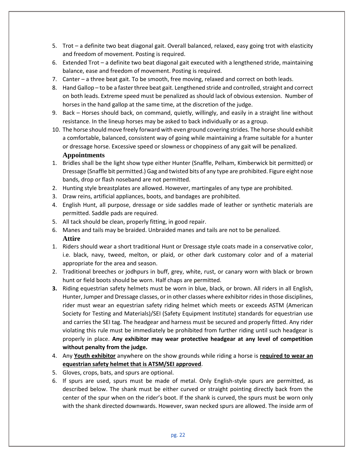- 5. Trot a definite two beat diagonal gait. Overall balanced, relaxed, easy going trot with elasticity and freedom of movement. Posting is required.
- 6. Extended Trot a definite two beat diagonal gait executed with a lengthened stride, maintaining balance, ease and freedom of movement. Posting is required.
- 7. Canter a three beat gait. To be smooth, free moving, relaxed and correct on both leads.
- 8. Hand Gallop to be a faster three beat gait. Lengthened stride and controlled, straight and correct on both leads. Extreme speed must be penalized as should lack of obvious extension. Number of horses in the hand gallop at the same time, at the discretion of the judge.
- 9. Back Horses should back, on command, quietly, willingly, and easily in a straight line without resistance. In the lineup horses may be asked to back individually or as a group.
- 10. The horse should move freely forward with even ground covering strides. The horse should exhibit a comfortable, balanced, consistent way of going while maintaining a frame suitable for a hunter or dressage horse. Excessive speed or slowness or choppiness of any gait will be penalized. **Appointments**
- 1. Bridles shall be the light show type either Hunter (Snaffle, Pelham, Kimberwick bit permitted) or Dressage (Snaffle bit permitted.) Gag and twisted bits of any type are prohibited. Figure eight nose bands, drop or flash noseband are not permitted.
- 2. Hunting style breastplates are allowed. However, martingales of any type are prohibited.
- 3. Draw reins, artificial appliances, boots, and bandages are prohibited.
- 4. English Hunt, all purpose, dressage or side saddles made of leather or synthetic materials are permitted. Saddle pads are required.
- 5. All tack should be clean, properly fitting, in good repair.
- 6. Manes and tails may be braided. Unbraided manes and tails are not to be penalized. **Attire**
- 1. Riders should wear a short traditional Hunt or Dressage style coats made in a conservative color, i.e. black, navy, tweed, melton, or plaid, or other dark customary color and of a material appropriate for the area and season.
- 2. Traditional breeches or jodhpurs in buff, grey, white, rust, or canary worn with black or brown hunt or field boots should be worn. Half chaps are permitted.
- **3.** Riding equestrian safety helmets must be worn in blue, black, or brown. All riders in all English, Hunter, Jumper and Dressage classes, or in other classes where exhibitor rides in those disciplines, rider must wear an equestrian safety riding helmet which meets or exceeds ASTM (American Society for Testing and Materials)/SEI (Safety Equipment Institute) standards for equestrian use and carries the SEI tag. The headgear and harness must be secured and properly fitted. Any rider violating this rule must be immediately be prohibited from further riding until such headgear is properly in place. **Any exhibitor may wear protective headgear at any level of competition without penalty from the judge.**
- 4. Any **Youth exhibitor** anywhere on the show grounds while riding a horse is **required to wear an equestrian safety helmet that is ATSM/SEI approved**.
- 5. Gloves, crops, bats, and spurs are optional.
- 6. If spurs are used, spurs must be made of metal. Only English-style spurs are permitted, as described below. The shank must be either curved or straight pointing directly back from the center of the spur when on the rider's boot. If the shank is curved, the spurs must be worn only with the shank directed downwards. However, swan necked spurs are allowed. The inside arm of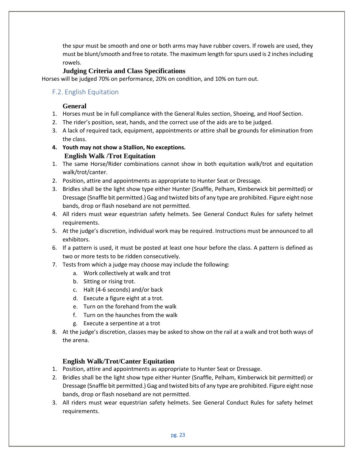the spur must be smooth and one or both arms may have rubber covers. If rowels are used, they must be blunt/smooth and free to rotate. The maximum length for spurs used is 2 inches including rowels.

#### **Judging Criteria and Class Specifications**

Horses will be judged 70% on performance, 20% on condition, and 10% on turn out.

## F.2. English Equitation

#### **General**

- 1. Horses must be in full compliance with the General Rules section, Shoeing, and Hoof Section.
- 2. The rider's position, seat, hands, and the correct use of the aids are to be judged.
- 3. A lack of required tack, equipment, appointments or attire shall be grounds for elimination from the class.
- **4. Youth may not show a Stallion, No exceptions. English Walk /Trot Equitation**
- 1. The same Horse/Rider combinations cannot show in both equitation walk/trot and equitation walk/trot/canter.
- 2. Position, attire and appointments as appropriate to Hunter Seat or Dressage.
- 3. Bridles shall be the light show type either Hunter (Snaffle, Pelham, Kimberwick bit permitted) or Dressage (Snaffle bit permitted.) Gag and twisted bits of any type are prohibited. Figure eight nose bands, drop or flash noseband are not permitted.
- 4. All riders must wear equestrian safety helmets. See General Conduct Rules for safety helmet requirements.
- 5. At the judge's discretion, individual work may be required. Instructions must be announced to all exhibitors.
- 6. If a pattern is used, it must be posted at least one hour before the class. A pattern is defined as two or more tests to be ridden consecutively.
- 7. Tests from which a judge may choose may include the following:
	- a. Work collectively at walk and trot
	- b. Sitting or rising trot.
	- c. Halt (4-6 seconds) and/or back
	- d. Execute a figure eight at a trot.
	- e. Turn on the forehand from the walk
	- f. Turn on the haunches from the walk
	- g. Execute a serpentine at a trot
- 8. At the judge's discretion, classes may be asked to show on the rail at a walk and trot both ways of the arena.

## **English Walk/Trot/Canter Equitation**

- 1. Position, attire and appointments as appropriate to Hunter Seat or Dressage.
- 2. Bridles shall be the light show type either Hunter (Snaffle, Pelham, Kimberwick bit permitted) or Dressage (Snaffle bit permitted.) Gag and twisted bits of any type are prohibited. Figure eight nose bands, drop or flash noseband are not permitted.
- 3. All riders must wear equestrian safety helmets. See General Conduct Rules for safety helmet requirements.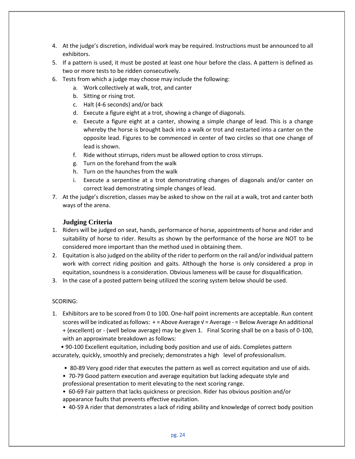- 4. At the judge's discretion, individual work may be required. Instructions must be announced to all exhibitors.
- 5. If a pattern is used, it must be posted at least one hour before the class. A pattern is defined as two or more tests to be ridden consecutively.
- 6. Tests from which a judge may choose may include the following:
	- a. Work collectively at walk, trot, and canter
	- b. Sitting or rising trot.
	- c. Halt (4-6 seconds) and/or back
	- d. Execute a figure eight at a trot, showing a change of diagonals.
	- e. Execute a figure eight at a canter, showing a simple change of lead. This is a change whereby the horse is brought back into a walk or trot and restarted into a canter on the opposite lead. Figures to be commenced in center of two circles so that one change of lead is shown.
	- f. Ride without stirrups, riders must be allowed option to cross stirrups.
	- g. Turn on the forehand from the walk
	- h. Turn on the haunches from the walk
	- i. Execute a serpentine at a trot demonstrating changes of diagonals and/or canter on correct lead demonstrating simple changes of lead.
- 7. At the judge's discretion, classes may be asked to show on the rail at a walk, trot and canter both ways of the arena.

#### **Judging Criteria**

- 1. Riders will be judged on seat, hands, performance of horse, appointments of horse and rider and suitability of horse to rider. Results as shown by the performance of the horse are NOT to be considered more important than the method used in obtaining them.
- 2. Equitation is also judged on the ability of the rider to perform on the rail and/or individual pattern work with correct riding position and gaits. Although the horse is only considered a prop in equitation, soundness is a consideration. Obvious lameness will be cause for disqualification.
- 3. In the case of a posted pattern being utilized the scoring system below should be used.

#### SCORING:

1. Exhibitors are to be scored from 0 to 100. One-half point increments are acceptable. Run content scores will be indicated as follows: + = Above Average √ = Average - = Below Average An additional + (excellent) or - (well below average) may be given 1. Final Scoring shall be on a basis of 0-100, with an approximate breakdown as follows:

 • 90-100 Excellent equitation, including body position and use of aids. Completes pattern accurately, quickly, smoothly and precisely; demonstrates a high level of professionalism.

- 80-89 Very good rider that executes the pattern as well as correct equitation and use of aids.
- 70-79 Good pattern execution and average equitation but lacking adequate style and professional presentation to merit elevating to the next scoring range.
- 60-69 Fair pattern that lacks quickness or precision. Rider has obvious position and/or appearance faults that prevents effective equitation.
- 40-59 A rider that demonstrates a lack of riding ability and knowledge of correct body position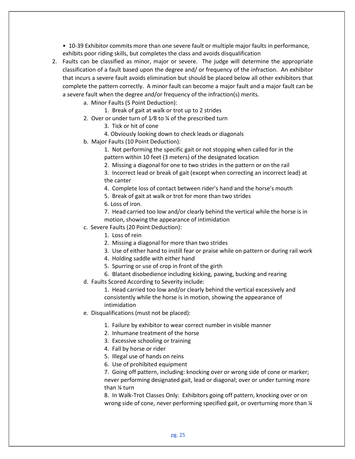• 10-39 Exhibitor commits more than one severe fault or multiple major faults in performance, exhibits poor riding skills, but completes the class and avoids disqualification

- 2. Faults can be classified as minor, major or severe. The judge will determine the appropriate classification of a fault based upon the degree and/ or frequency of the infraction. An exhibitor that incurs a severe fault avoids elimination but should be placed below all other exhibitors that complete the pattern correctly. A minor fault can become a major fault and a major fault can be a severe fault when the degree and/or frequency of the infraction(s) merits.
	- a. Minor Faults (5 Point Deduction):
		- 1. Break of gait at walk or trot up to 2 strides
	- 2. Over or under turn of  $1/8$  to  $\frac{1}{4}$  of the prescribed turn
		- 3. Tick or hit of cone
		- 4. Obviously looking down to check leads or diagonals
	- b. Major Faults (10 Point Deduction):
		- 1. Not performing the specific gait or not stopping when called for in the pattern within 10 feet (3 meters) of the designated location
		- 2. Missing a diagonal for one to two strides in the pattern or on the rail

3. Incorrect lead or break of gait (except when correcting an incorrect lead) at the canter

- 4. Complete loss of contact between rider's hand and the horse's mouth
- 5. Break of gait at walk or trot for more than two strides
- 6. Loss of iron.

7. Head carried too low and/or clearly behind the vertical while the horse is in motion, showing the appearance of intimidation

- c. Severe Faults (20 Point Deduction):
	- 1. Loss of rein
	- 2. Missing a diagonal for more than two strides
	- 3. Use of either hand to instill fear or praise while on pattern or during rail work
	- 4. Holding saddle with either hand
	- 5. Spurring or use of crop in front of the girth
	- 6. Blatant disobedience including kicking, pawing, bucking and rearing
- d. Faults Scored According to Severity include:

1. Head carried too low and/or clearly behind the vertical excessively and consistently while the horse is in motion, showing the appearance of intimidation

- e. Disqualifications (must not be placed):
	- 1. Failure by exhibitor to wear correct number in visible manner
	- 2. Inhumane treatment of the horse
	- 3. Excessive schooling or training
	- 4. Fall by horse or rider
	- 5. Illegal use of hands on reins
	- 6. Use of prohibited equipment

7. Going off pattern, including: knocking over or wrong side of cone or marker; never performing designated gait, lead or diagonal; over or under turning more than ¼ turn

8. In Walk-Trot Classes Only: Exhibitors going off pattern, knocking over or on wrong side of cone, never performing specified gait, or overturning more than  $\frac{1}{4}$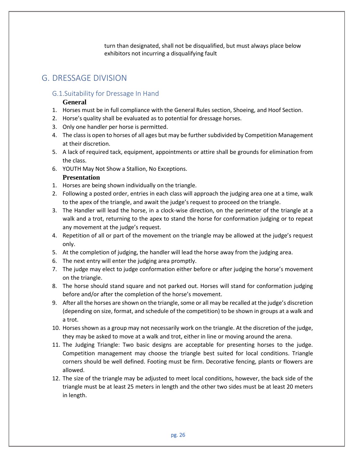turn than designated, shall not be disqualified, but must always place below exhibitors not incurring a disqualifying fault

# G. DRESSAGE DIVISION

#### G.1.Suitability for Dressage In Hand

#### **General**

- 1. Horses must be in full compliance with the General Rules section, Shoeing, and Hoof Section.
- 2. Horse's quality shall be evaluated as to potential for dressage horses.
- 3. Only one handler per horse is permitted.
- 4. The class is open to horses of all ages but may be further subdivided by Competition Management at their discretion.
- 5. A lack of required tack, equipment, appointments or attire shall be grounds for elimination from the class.
- 6. YOUTH May Not Show a Stallion, No Exceptions.

#### **Presentation**

- 1. Horses are being shown individually on the triangle.
- 2. Following a posted order, entries in each class will approach the judging area one at a time, walk to the apex of the triangle, and await the judge's request to proceed on the triangle.
- 3. The Handler will lead the horse, in a clock-wise direction, on the perimeter of the triangle at a walk and a trot, returning to the apex to stand the horse for conformation judging or to repeat any movement at the judge's request.
- 4. Repetition of all or part of the movement on the triangle may be allowed at the judge's request only.
- 5. At the completion of judging, the handler will lead the horse away from the judging area.
- 6. The next entry will enter the judging area promptly.
- 7. The judge may elect to judge conformation either before or after judging the horse's movement on the triangle.
- 8. The horse should stand square and not parked out. Horses will stand for conformation judging before and/or after the completion of the horse's movement.
- 9. After all the horses are shown on the triangle, some or all may be recalled at the judge's discretion (depending on size, format, and schedule of the competition) to be shown in groups at a walk and a trot.
- 10. Horses shown as a group may not necessarily work on the triangle. At the discretion of the judge, they may be asked to move at a walk and trot, either in line or moving around the arena.
- 11. The Judging Triangle: Two basic designs are acceptable for presenting horses to the judge. Competition management may choose the triangle best suited for local conditions. Triangle corners should be well defined. Footing must be firm. Decorative fencing, plants or flowers are allowed.
- 12. The size of the triangle may be adjusted to meet local conditions, however, the back side of the triangle must be at least 25 meters in length and the other two sides must be at least 20 meters in length.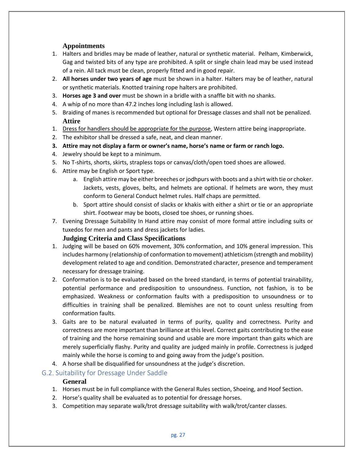## **Appointments**

- 1. Halters and bridles may be made of leather, natural or synthetic material. Pelham, Kimberwick, Gag and twisted bits of any type are prohibited. A split or single chain lead may be used instead of a rein. All tack must be clean, properly fitted and in good repair.
- 2. **All horses under two years of age** must be shown in a halter. Halters may be of leather, natural or synthetic materials. Knotted training rope halters are prohibited.
- 3. **Horses age 3 and over** must be shown in a bridle with a snaffle bit with no shanks.
- 4. A whip of no more than 47.2 inches long including lash is allowed.
- 5. Braiding of manes is recommended but optional for Dressage classes and shall not be penalized. **Attire**
- 1. Dress for handlers should be appropriate for the purpose, Western attire being inappropriate.
- 2. The exhibitor shall be dressed a safe, neat, and clean manner.
- **3. Attire may not display a farm or owner's name, horse's name or farm or ranch logo.**
- 4. Jewelry should be kept to a minimum.
- 5. No T-shirts, shorts, skirts, strapless tops or canvas/cloth/open toed shoes are allowed.
- 6. Attire may be English or Sport type.
	- a. English attire may be either breeches or jodhpurs with boots and a shirt with tie or choker. Jackets, vests, gloves, belts, and helmets are optional. If helmets are worn, they must conform to General Conduct helmet rules. Half chaps are permitted.
	- b. Sport attire should consist of slacks or khakis with either a shirt or tie or an appropriate shirt. Footwear may be boots, closed toe shoes, or running shoes.
- 7. Evening Dressage Suitability In Hand attire may consist of more formal attire including suits or tuxedos for men and pants and dress jackets for ladies.

## **Judging Criteria and Class Specifications**

- 1. Judging will be based on 60% movement, 30% conformation, and 10% general impression. This includes harmony (relationship of conformation to movement) athleticism (strength and mobility) development related to age and condition. Demonstrated character, presence and temperament necessary for dressage training.
- 2. Conformation is to be evaluated based on the breed standard, in terms of potential trainability, potential performance and predisposition to unsoundness. Function, not fashion, is to be emphasized. Weakness or conformation faults with a predisposition to unsoundness or to difficulties in training shall be penalized. Blemishes are not to count unless resulting from conformation faults.
- 3. Gaits are to be natural evaluated in terms of purity, quality and correctness. Purity and correctness are more important than brilliance at this level. Correct gaits contributing to the ease of training and the horse remaining sound and usable are more important than gaits which are merely superficially flashy. Purity and quality are judged mainly in profile. Correctness is judged mainly while the horse is coming to and going away from the judge's position.
- 4. A horse shall be disqualified for unsoundness at the judge's discretion.

# G.2. Suitability for Dressage Under Saddle

# **General**

- 1. Horses must be in full compliance with the General Rules section, Shoeing, and Hoof Section.
- 2. Horse's quality shall be evaluated as to potential for dressage horses.
- 3. Competition may separate walk/trot dressage suitability with walk/trot/canter classes.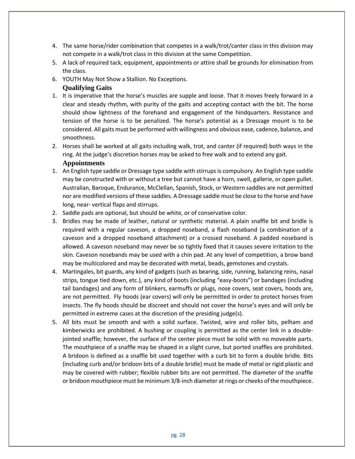- 4. The same horse/rider combination that competes in a walk/trot/canter class in this division may not compete in a walk/trot class in this division at the same Competition.
- 5. A lack of required tack, equipment, appointments or attire shall be grounds for elimination from the class.
- 6. YOUTH May Not Show a Stallion. No Exceptions.

## **Qualifying Gaits**

- 1. It is imperative that the horse's muscles are supple and loose. That it moves freely forward in a clear and steady rhythm, with purity of the gaits and accepting contact with the bit. The horse should show lightness of the forehand and engagement of the hindquarters. Resistance and tension of the horse is to be penalized. The horse's potential as a Dressage mount is to be considered. All gaits must be performed with willingness and obvious ease, cadence, balance, and smoothness.
- 2. Horses shall be worked at all gaits including walk, trot, and canter (if required) both ways in the ring. At the judge's discretion horses may be asked to free walk and to extend any gait.

#### **Appointments**

- 1. An English type saddle or Dressage type saddle with stirrups is compulsory. An English type saddle may be constructed with or without a tree but cannot have a horn, swell, gallerie, or open gullet. Australian, Baroque, Endurance, McClellan, Spanish, Stock, or Western saddles are not permitted nor are modified versions of these saddles. A Dressage saddle must be close to the horse and have long, near- vertical flaps and stirrups.
- 2. Saddle pads are optional, but should be white, or of conservative color.
- 3. Bridles may be made of leather, natural or synthetic material. A plain snaffle bit and bridle is required with a regular caveson, a dropped noseband, a flash noseband (a combination of a caveson and a dropped noseband attachment) or a crossed noseband. A padded noseband is allowed. A caveson noseband may never be so tightly fixed that it causes severe irritation to the skin. Caveson nosebands may be used with a chin pad. At any level of competition, a brow band may be multicolored and may be decorated with metal, beads, gemstones and crystals.
- 4. Martingales, bit guards, any kind of gadgets (such as bearing, side, running, balancing reins, nasal strips, tongue tied down, etc.), any kind of boots (including "easy-boots") or bandages (including tail bandages) and any form of blinkers, earmuffs or plugs, nose covers, seat covers, hoods are, are not permitted. Fly hoods (ear covers) will only be permitted in order to protect horses from insects. The fly hoods should be discreet and should not cover the horse's eyes and will only be permitted in extreme cases at the discretion of the presiding judge(s).
- 5. All bits must be smooth and with a solid surface. Twisted, wire and roller bits, pelham and kimberwicks are prohibited. A bushing or coupling is permitted as the center link in a doublejointed snaffle; however, the surface of the center piece must be solid with no moveable parts. The mouthpiece of a snaffle may be shaped in a slight curve, but ported snaffles are prohibited. A bridoon is defined as a snaffle bit used together with a curb bit to form a double bridle. Bits (including curb and/or bridoon bits of a double bridle) must be made of metal or rigid plastic and may be covered with rubber; flexible rubber bits are not permitted. The diameter of the snaffle or bridoon mouthpiece must be minimum 3/8-inch diameter at rings or cheeks of the mouthpiece.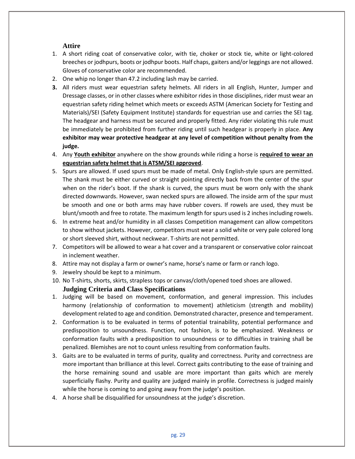#### **Attire**

- 1. A short riding coat of conservative color, with tie, choker or stock tie, white or light-colored breeches or jodhpurs, boots or jodhpur boots. Half chaps, gaiters and/or leggings are not allowed. Gloves of conservative color are recommended.
- 2. One whip no longer than 47.2 including lash may be carried.
- **3.** All riders must wear equestrian safety helmets. All riders in all English, Hunter, Jumper and Dressage classes, or in other classes where exhibitor rides in those disciplines, rider must wear an equestrian safety riding helmet which meets or exceeds ASTM (American Society for Testing and Materials)/SEI (Safety Equipment Institute) standards for equestrian use and carries the SEI tag. The headgear and harness must be secured and properly fitted. Any rider violating this rule must be immediately be prohibited from further riding until such headgear is properly in place. **Any exhibitor may wear protective headgear at any level of competition without penalty from the judge.**
- 4. Any **Youth exhibitor** anywhere on the show grounds while riding a horse is **required to wear an equestrian safety helmet that is ATSM/SEI approved**.
- 5. Spurs are allowed. If used spurs must be made of metal. Only English-style spurs are permitted. The shank must be either curved or straight pointing directly back from the center of the spur when on the rider's boot. If the shank is curved, the spurs must be worn only with the shank directed downwards. However, swan necked spurs are allowed. The inside arm of the spur must be smooth and one or both arms may have rubber covers. If rowels are used, they must be blunt/smooth and free to rotate. The maximum length for spurs used is 2 inches including rowels.
- 6. In extreme heat and/or humidity in all classes Competition management can allow competitors to show without jackets. However, competitors must wear a solid white or very pale colored long or short sleeved shirt, without neckwear. T-shirts are not permitted.
- 7. Competitors will be allowed to wear a hat cover and a transparent or conservative color raincoat in inclement weather.
- 8. Attire may not display a farm or owner's name, horse's name or farm or ranch logo.
- 9. Jewelry should be kept to a minimum.
- 10. No T-shirts, shorts, skirts, strapless tops or canvas/cloth/opened toed shoes are allowed. **Judging Criteria and Class Specifications**
- 1. Judging will be based on movement, conformation, and general impression. This includes harmony (relationship of conformation to movement) athleticism (strength and mobility) development related to age and condition. Demonstrated character, presence and temperament.
- 2. Conformation is to be evaluated in terms of potential trainability, potential performance and predisposition to unsoundness. Function, not fashion, is to be emphasized. Weakness or conformation faults with a predisposition to unsoundness or to difficulties in training shall be penalized. Blemishes are not to count unless resulting from conformation faults.
- 3. Gaits are to be evaluated in terms of purity, quality and correctness. Purity and correctness are more important than brilliance at this level. Correct gaits contributing to the ease of training and the horse remaining sound and usable are more important than gaits which are merely superficially flashy. Purity and quality are judged mainly in profile. Correctness is judged mainly while the horse is coming to and going away from the judge's position.
- 4. A horse shall be disqualified for unsoundness at the judge's discretion.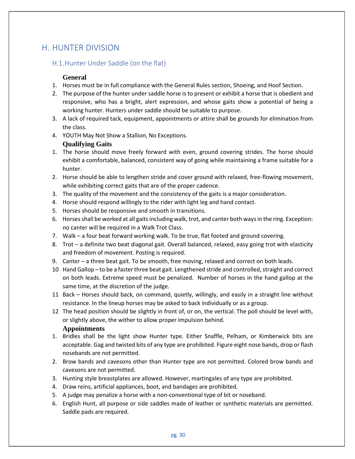# H. HUNTER DIVISION

# H.1.Hunter Under Saddle (on the flat)

#### **General**

- 1. Horses must be in full compliance with the General Rules section, Shoeing, and Hoof Section.
- 2. The purpose of the hunter under saddle horse is to present or exhibit a horse that is obedient and responsive, who has a bright, alert expression, and whose gaits show a potential of being a working hunter. Hunters under saddle should be suitable to purpose.
- 3. A lack of required tack, equipment, appointments or attire shall be grounds for elimination from the class.
- 4. YOUTH May Not Show a Stallion, No Exceptions.

## **Qualifying Gaits**

- 1. The horse should move freely forward with even, ground covering strides. The horse should exhibit a comfortable, balanced, consistent way of going while maintaining a frame suitable for a hunter.
- 2. Horse should be able to lengthen stride and cover ground with relaxed, free-flowing movement, while exhibiting correct gaits that are of the proper cadence.
- 3. The quality of the movement and the consistency of the gaits is a major consideration.
- 4. Horse should respond willingly to the rider with light leg and hand contact.
- 5. Horses should be responsive and smooth in transitions.
- 6. Horses shall be worked at all gaits including walk, trot, and canter both ways in the ring. Exception: no canter will be required in a Walk Trot Class.
- 7. Walk a four beat forward working walk. To be true, flat footed and ground covering.
- 8. Trot a definite two beat diagonal gait. Overall balanced, relaxed, easy going trot with elasticity and freedom of movement. Posting is required.
- 9. Canter a three beat gait. To be smooth, free moving, relaxed and correct on both leads.
- 10 Hand Gallop to be a faster three beat gait. Lengthened stride and controlled, straight and correct on both leads. Extreme speed must be penalized. Number of horses in the hand gallop at the same time, at the discretion of the judge.
- 11 Back Horses should back, on command, quietly, willingly, and easily in a straight line without resistance. In the lineup horses may be asked to back individually or as a group.
- 12 The head position should be slightly in front of, or on, the vertical. The poll should be level with, or slightly above, the wither to allow proper impulsion behind. **Appointments**
- 1. Bridles shall be the light show Hunter type. Either Snaffle, Pelham, or Kimberwick bits are acceptable. Gag and twisted bits of any type are prohibited. Figure eight nose bands, drop or flash nosebands are not permitted.
- 2. Brow bands and cavesons other than Hunter type are not permitted. Colored brow bands and cavesons are not permitted.
- 3. Hunting style breastplates are allowed. However, martingales of any type are prohibited.
- 4. Draw reins, artificial appliances, boot, and bandages are prohibited.
- 5. A judge may penalize a horse with a non-conventional type of bit or noseband.
- 6. English Hunt, all purpose or side saddles made of leather or synthetic materials are permitted. Saddle pads are required.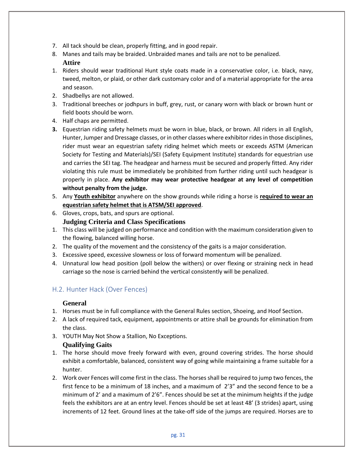- 7. All tack should be clean, properly fitting, and in good repair.
- 8. Manes and tails may be braided. Unbraided manes and tails are not to be penalized.

# **Attire**

- 1. Riders should wear traditional Hunt style coats made in a conservative color, i.e. black, navy, tweed, melton, or plaid, or other dark customary color and of a material appropriate for the area and season.
- 2. Shadbellys are not allowed.
- 3. Traditional breeches or jodhpurs in buff, grey, rust, or canary worn with black or brown hunt or field boots should be worn.
- 4. Half chaps are permitted.
- **3.** Equestrian riding safety helmets must be worn in blue, black, or brown. All riders in all English, Hunter, Jumper and Dressage classes, or in other classes where exhibitor rides in those disciplines, rider must wear an equestrian safety riding helmet which meets or exceeds ASTM (American Society for Testing and Materials)/SEI (Safety Equipment Institute) standards for equestrian use and carries the SEI tag. The headgear and harness must be secured and properly fitted. Any rider violating this rule must be immediately be prohibited from further riding until such headgear is properly in place. **Any exhibitor may wear protective headgear at any level of competition without penalty from the judge.**
- 5. Any **Youth exhibitor** anywhere on the show grounds while riding a horse is **required to wear an equestrian safety helmet that is ATSM/SEI approved**.
- 6. Gloves, crops, bats, and spurs are optional. **Judging Criteria and Class Specifications**
- 1. This class will be judged on performance and condition with the maximum consideration given to the flowing, balanced willing horse.
- 2. The quality of the movement and the consistency of the gaits is a major consideration.
- 3. Excessive speed, excessive slowness or loss of forward momentum will be penalized.
- 4. Unnatural low head position (poll below the withers) or over flexing or straining neck in head carriage so the nose is carried behind the vertical consistently will be penalized.

# H.2. Hunter Hack (Over Fences)

# **General**

- 1. Horses must be in full compliance with the General Rules section, Shoeing, and Hoof Section.
- 2. A lack of required tack, equipment, appointments or attire shall be grounds for elimination from the class.
- 3. YOUTH May Not Show a Stallion, No Exceptions.

# **Qualifying Gaits**

- 1. The horse should move freely forward with even, ground covering strides. The horse should exhibit a comfortable, balanced, consistent way of going while maintaining a frame suitable for a hunter.
- 2. Work over Fences will come first in the class. The horses shall be required to jump two fences, the first fence to be a minimum of 18 inches, and a maximum of 2'3" and the second fence to be a minimum of 2' and a maximum of 2'6". Fences should be set at the minimum heights if the judge feels the exhibitors are at an entry level. Fences should be set at least 48' (3 strides) apart, using increments of 12 feet. Ground lines at the take-off side of the jumps are required. Horses are to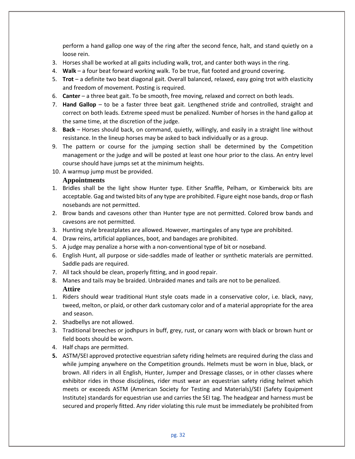perform a hand gallop one way of the ring after the second fence, halt, and stand quietly on a loose rein.

- 3. Horses shall be worked at all gaits including walk, trot, and canter both ways in the ring.
- 4. **Walk** a four beat forward working walk. To be true, flat footed and ground covering.
- 5. **Trot** a definite two beat diagonal gait. Overall balanced, relaxed, easy going trot with elasticity and freedom of movement. Posting is required.
- 6. **Canter** a three beat gait. To be smooth, free moving, relaxed and correct on both leads.
- 7. **Hand Gallop**  to be a faster three beat gait. Lengthened stride and controlled, straight and correct on both leads. Extreme speed must be penalized. Number of horses in the hand gallop at the same time, at the discretion of the judge.
- 8. **Back**  Horses should back, on command, quietly, willingly, and easily in a straight line without resistance. In the lineup horses may be asked to back individually or as a group.
- 9. The pattern or course for the jumping section shall be determined by the Competition management or the judge and will be posted at least one hour prior to the class. An entry level course should have jumps set at the minimum heights.
- 10. A warmup jump must be provided.

#### **Appointments**

- 1. Bridles shall be the light show Hunter type. Either Snaffle, Pelham, or Kimberwick bits are acceptable. Gag and twisted bits of any type are prohibited. Figure eight nose bands, drop or flash nosebands are not permitted.
- 2. Brow bands and cavesons other than Hunter type are not permitted. Colored brow bands and cavesons are not permitted.
- 3. Hunting style breastplates are allowed. However, martingales of any type are prohibited.
- 4. Draw reins, artificial appliances, boot, and bandages are prohibited.
- 5. A judge may penalize a horse with a non-conventional type of bit or noseband.
- 6. English Hunt, all purpose or side-saddles made of leather or synthetic materials are permitted. Saddle pads are required.
- 7. All tack should be clean, properly fitting, and in good repair.
- 8. Manes and tails may be braided. Unbraided manes and tails are not to be penalized. **Attire**
- 1. Riders should wear traditional Hunt style coats made in a conservative color, i.e. black, navy, tweed, melton, or plaid, or other dark customary color and of a material appropriate for the area and season.
- 2. Shadbellys are not allowed.
- 3. Traditional breeches or jodhpurs in buff, grey, rust, or canary worn with black or brown hunt or field boots should be worn.
- 4. Half chaps are permitted.
- **5.** ASTM/SEI approved protective equestrian safety riding helmets are required during the class and while jumping anywhere on the Competition grounds. Helmets must be worn in blue, black, or brown. All riders in all English, Hunter, Jumper and Dressage classes, or in other classes where exhibitor rides in those disciplines, rider must wear an equestrian safety riding helmet which meets or exceeds ASTM (American Society for Testing and Materials)/SEI (Safety Equipment Institute) standards for equestrian use and carries the SEI tag. The headgear and harness must be secured and properly fitted. Any rider violating this rule must be immediately be prohibited from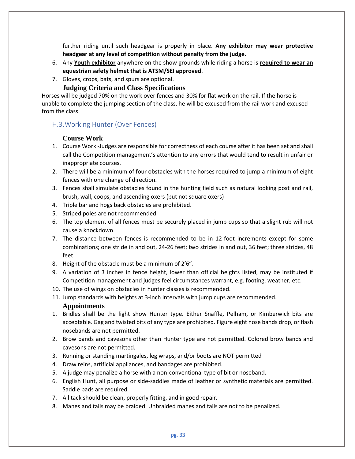further riding until such headgear is properly in place. **Any exhibitor may wear protective headgear at any level of competition without penalty from the judge.** 

- 6. Any **Youth exhibitor** anywhere on the show grounds while riding a horse is **required to wear an equestrian safety helmet that is ATSM/SEI approved**.
- 7. Gloves, crops, bats, and spurs are optional.

#### **Judging Criteria and Class Specifications**

Horses will be judged 70% on the work over fences and 30% for flat work on the rail. If the horse is unable to complete the jumping section of the class, he will be excused from the rail work and excused from the class.

#### H.3.Working Hunter (Over Fences)

#### **Course Work**

- 1. Course Work -Judges are responsible for correctness of each course after it has been set and shall call the Competition management's attention to any errors that would tend to result in unfair or inappropriate courses.
- 2. There will be a minimum of four obstacles with the horses required to jump a minimum of eight fences with one change of direction.
- 3. Fences shall simulate obstacles found in the hunting field such as natural looking post and rail, brush, wall, coops, and ascending oxers (but not square oxers)
- 4. Triple bar and hogs back obstacles are prohibited.
- 5. Striped poles are not recommended
- 6. The top element of all fences must be securely placed in jump cups so that a slight rub will not cause a knockdown.
- 7. The distance between fences is recommended to be in 12-foot increments except for some combinations; one stride in and out, 24-26 feet; two strides in and out, 36 feet; three strides, 48 feet.
- 8. Height of the obstacle must be a minimum of 2'6".
- 9. A variation of 3 inches in fence height, lower than official heights listed, may be instituted if Competition management and judges feel circumstances warrant, e.g. footing, weather, etc.
- 10. The use of wings on obstacles in hunter classes is recommended.
- 11. Jump standards with heights at 3-inch intervals with jump cups are recommended.

#### **Appointments**

- 1. Bridles shall be the light show Hunter type. Either Snaffle, Pelham, or Kimberwick bits are acceptable. Gag and twisted bits of any type are prohibited. Figure eight nose bands drop, or flash nosebands are not permitted.
- 2. Brow bands and cavesons other than Hunter type are not permitted. Colored brow bands and cavesons are not permitted.
- 3. Running or standing martingales, leg wraps, and/or boots are NOT permitted
- 4. Draw reins, artificial appliances, and bandages are prohibited.
- 5. A judge may penalize a horse with a non-conventional type of bit or noseband.
- 6. English Hunt, all purpose or side-saddles made of leather or synthetic materials are permitted. Saddle pads are required.
- 7. All tack should be clean, properly fitting, and in good repair.
- 8. Manes and tails may be braided. Unbraided manes and tails are not to be penalized.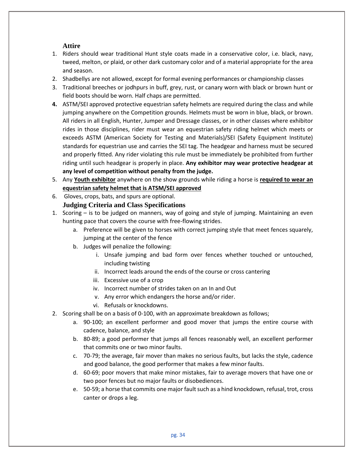## **Attire**

- 1. Riders should wear traditional Hunt style coats made in a conservative color, i.e. black, navy, tweed, melton, or plaid, or other dark customary color and of a material appropriate for the area and season.
- 2. Shadbellys are not allowed, except for formal evening performances or championship classes
- 3. Traditional breeches or jodhpurs in buff, grey, rust, or canary worn with black or brown hunt or field boots should be worn. Half chaps are permitted.
- **4.** ASTM/SEI approved protective equestrian safety helmets are required during the class and while jumping anywhere on the Competition grounds. Helmets must be worn in blue, black, or brown. All riders in all English, Hunter, Jumper and Dressage classes, or in other classes where exhibitor rides in those disciplines, rider must wear an equestrian safety riding helmet which meets or exceeds ASTM (American Society for Testing and Materials)/SEI (Safety Equipment Institute) standards for equestrian use and carries the SEI tag. The headgear and harness must be secured and properly fitted. Any rider violating this rule must be immediately be prohibited from further riding until such headgear is properly in place. **Any exhibitor may wear protective headgear at any level of competition without penalty from the judge.**
- 5. Any **Youth exhibitor** anywhere on the show grounds while riding a horse is **required to wear an equestrian safety helmet that is ATSM/SEI approved**
- 6. Gloves, crops, bats, and spurs are optional.

## **Judging Criteria and Class Specifications**

- 1. Scoring is to be judged on manners, way of going and style of jumping. Maintaining an even hunting pace that covers the course with free-flowing strides.
	- a. Preference will be given to horses with correct jumping style that meet fences squarely, jumping at the center of the fence
	- b. Judges will penalize the following:
		- i. Unsafe jumping and bad form over fences whether touched or untouched, including twisting
		- ii. Incorrect leads around the ends of the course or cross cantering
		- iii. Excessive use of a crop
		- iv. Incorrect number of strides taken on an In and Out
		- v. Any error which endangers the horse and/or rider.
		- vi. Refusals or knockdowns.
- 2. Scoring shall be on a basis of 0-100, with an approximate breakdown as follows;
	- a. 90-100; an excellent performer and good mover that jumps the entire course with cadence, balance, and style
	- b. 80-89; a good performer that jumps all fences reasonably well, an excellent performer that commits one or two minor faults.
	- c. 70-79; the average, fair mover than makes no serious faults, but lacks the style, cadence and good balance, the good performer that makes a few minor faults.
	- d. 60-69; poor movers that make minor mistakes, fair to average movers that have one or two poor fences but no major faults or disobediences.
	- e. 50-59; a horse that commits one major fault such as a hind knockdown, refusal, trot, cross canter or drops a leg.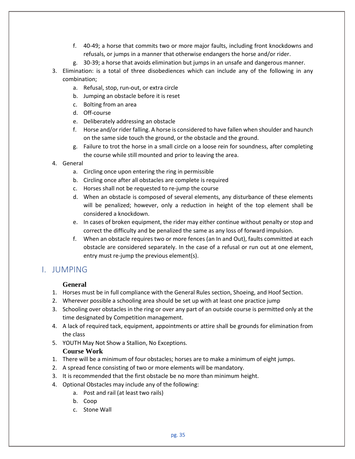- f. 40-49; a horse that commits two or more major faults, including front knockdowns and refusals, or jumps in a manner that otherwise endangers the horse and/or rider.
- g. 30-39; a horse that avoids elimination but jumps in an unsafe and dangerous manner.
- 3. Elimination: is a total of three disobediences which can include any of the following in any combination;
	- a. Refusal, stop, run-out, or extra circle
	- b. Jumping an obstacle before it is reset
	- c. Bolting from an area
	- d. Off-course
	- e. Deliberately addressing an obstacle
	- f. Horse and/or rider falling. A horse is considered to have fallen when shoulder and haunch on the same side touch the ground, or the obstacle and the ground.
	- g. Failure to trot the horse in a small circle on a loose rein for soundness, after completing the course while still mounted and prior to leaving the area.
- 4. General
	- a. Circling once upon entering the ring in permissible
	- b. Circling once after all obstacles are complete is required
	- c. Horses shall not be requested to re-jump the course
	- d. When an obstacle is composed of several elements, any disturbance of these elements will be penalized; however, only a reduction in height of the top element shall be considered a knockdown.
	- e. In cases of broken equipment, the rider may either continue without penalty or stop and correct the difficulty and be penalized the same as any loss of forward impulsion.
	- f. When an obstacle requires two or more fences (an In and Out), faults committed at each obstacle are considered separately. In the case of a refusal or run out at one element, entry must re-jump the previous element(s).

# I. JUMPING

## **General**

- 1. Horses must be in full compliance with the General Rules section, Shoeing, and Hoof Section.
- 2. Wherever possible a schooling area should be set up with at least one practice jump
- 3. Schooling over obstacles in the ring or over any part of an outside course is permitted only at the time designated by Competition management.
- 4. A lack of required tack, equipment, appointments or attire shall be grounds for elimination from the class
- 5. YOUTH May Not Show a Stallion, No Exceptions.

## **Course Work**

- 1. There will be a minimum of four obstacles; horses are to make a minimum of eight jumps.
- 2. A spread fence consisting of two or more elements will be mandatory.
- 3. It is recommended that the first obstacle be no more than minimum height.
- 4. Optional Obstacles may include any of the following:
	- a. Post and rail (at least two rails)
	- b. Coop
	- c. Stone Wall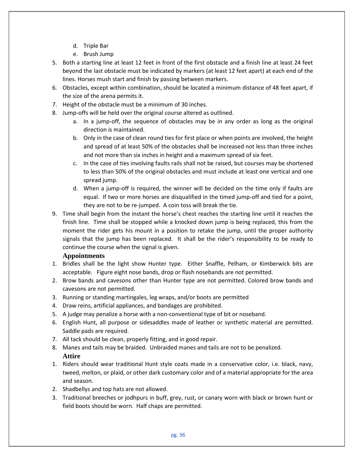- d. Triple Bar
- e. Brush Jump
- 5. Both a starting line at least 12 feet in front of the first obstacle and a finish line at least 24 feet beyond the last obstacle must be indicated by markers (at least 12 feet apart) at each end of the lines. Horses mush start and finish by passing between markers.
- 6. Obstacles, except within combination, should be located a minimum distance of 48 feet apart, if the size of the arena permits it.
- 7. Height of the obstacle must be a minimum of 30 inches.
- 8. Jump-offs will be held over the original course altered as outlined.
	- a. In a jump-off, the sequence of obstacles may be in any order as long as the original direction is maintained.
	- b. Only in the case of clean round ties for first place or when points are involved, the height and spread of at least 50% of the obstacles shall be increased not less than three inches and not more than six inches in height and a maximum spread of six feet.
	- c. In the case of ties involving faults rails shall not be raised, but courses may be shortened to less than 50% of the original obstacles and must include at least one vertical and one spread jump.
	- d. When a jump-off is required, the winner will be decided on the time only if faults are equal. If two or more horses are disqualified in the timed jump-off and tied for a point, they are not to be re-jumped. A coin toss will break the tie.
- 9. Time shall begin from the instant the horse's chest reaches the starting line until it reaches the finish line. Time shall be stopped while a knocked down jump is being replaced, this from the moment the rider gets his mount in a position to retake the jump, until the proper authority signals that the jump has been replaced. It shall be the rider's responsibility to be ready to continue the course when the signal is given.

## **Appointments**

- 1. Bridles shall be the light show Hunter type. Either Snaffle, Pelham, or Kimberwick bits are acceptable. Figure eight nose bands, drop or flash nosebands are not permitted.
- 2. Brow bands and cavesons other than Hunter type are not permitted. Colored brow bands and cavesons are not permitted.
- 3. Running or standing martingales, leg wraps, and/or boots are permitted
- 4. Draw reins, artificial appliances, and bandages are prohibited.
- 5. A judge may penalize a horse with a non-conventional type of bit or noseband.
- 6. English Hunt, all purpose or sidesaddles made of leather or synthetic material are permitted. Saddle pads are required.
- 7. All tack should be clean, properly fitting, and in good repair.
- 8. Manes and tails may be braided. Unbraided manes and tails are not to be penalized. **Attire**
- 1. Riders should wear traditional Hunt style coats made in a conservative color, i.e. black, navy, tweed, melton, or plaid, or other dark customary color and of a material appropriate for the area and season.
- 2. Shadbellys and top hats are not allowed.
- 3. Traditional breeches or jodhpurs in buff, grey, rust, or canary worn with black or brown hunt or field boots should be worn. Half chaps are permitted.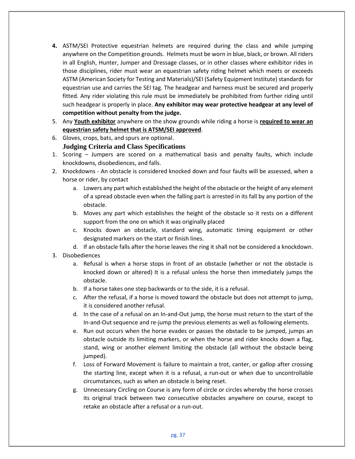- **4.** ASTM/SEI Protective equestrian helmets are required during the class and while jumping anywhere on the Competition grounds. Helmets must be worn in blue, black, or brown. All riders in all English, Hunter, Jumper and Dressage classes, or in other classes where exhibitor rides in those disciplines, rider must wear an equestrian safety riding helmet which meets or exceeds ASTM (American Society for Testing and Materials)/SEI (Safety Equipment Institute) standards for equestrian use and carries the SEI tag. The headgear and harness must be secured and properly fitted. Any rider violating this rule must be immediately be prohibited from further riding until such headgear is properly in place. **Any exhibitor may wear protective headgear at any level of competition without penalty from the judge.**
- 5. Any **Youth exhibitor** anywhere on the show grounds while riding a horse is **required to wear an equestrian safety helmet that is ATSM/SEI approved**.
- 6. Gloves, crops, bats, and spurs are optional.

#### **Judging Criteria and Class Specifications**

- 1. Scoring Jumpers are scored on a mathematical basis and penalty faults, which include knockdowns, disobediences, and falls.
- 2. Knockdowns An obstacle is considered knocked down and four faults will be assessed, when a horse or rider, by contact
	- a. Lowers any part which established the height of the obstacle or the height of any element of a spread obstacle even when the falling part is arrested in its fall by any portion of the obstacle.
	- b. Moves any part which establishes the height of the obstacle so it rests on a different support from the one on which it was originally placed
	- c. Knocks down an obstacle, standard wing, automatic timing equipment or other designated markers on the start or finish lines.
	- d. If an obstacle falls after the horse leaves the ring it shall not be considered a knockdown.
- 3. Disobediences
	- a. Refusal is when a horse stops in front of an obstacle (whether or not the obstacle is knocked down or altered) It is a refusal unless the horse then immediately jumps the obstacle.
	- b. If a horse takes one step backwards or to the side, it is a refusal.
	- c. After the refusal, if a horse is moved toward the obstacle but does not attempt to jump, it is considered another refusal.
	- d. In the case of a refusal on an In-and-Out jump, the horse must return to the start of the In-and-Out sequence and re-jump the previous elements as well as following elements.
	- e. Run out occurs when the horse evades or passes the obstacle to be jumped, jumps an obstacle outside its limiting markers, or when the horse and rider knocks down a flag, stand, wing or another element limiting the obstacle (all without the obstacle being jumped).
	- f. Loss of Forward Movement is failure to maintain a trot, canter, or gallop after crossing the starting line, except when it is a refusal, a run-out or when due to uncontrollable circumstances, such as when an obstacle is being reset.
	- g. Unnecessary Circling on Course is any form of circle or circles whereby the horse crosses its original track between two consecutive obstacles anywhere on course, except to retake an obstacle after a refusal or a run-out.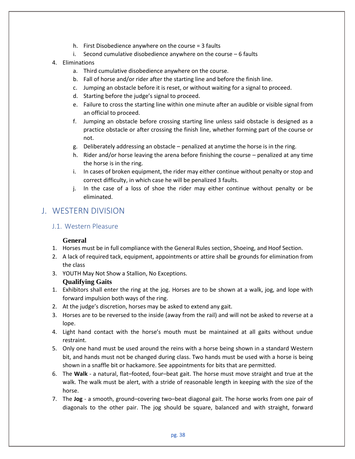- h. First Disobedience anywhere on the course = 3 faults
- i. Second cumulative disobedience anywhere on the course 6 faults
- 4. Eliminations
	- a. Third cumulative disobedience anywhere on the course.
	- b. Fall of horse and/or rider after the starting line and before the finish line.
	- c. Jumping an obstacle before it is reset, or without waiting for a signal to proceed.
	- d. Starting before the judge's signal to proceed.
	- e. Failure to cross the starting line within one minute after an audible or visible signal from an official to proceed.
	- f. Jumping an obstacle before crossing starting line unless said obstacle is designed as a practice obstacle or after crossing the finish line, whether forming part of the course or not.
	- g. Deliberately addressing an obstacle penalized at anytime the horse is in the ring.
	- h. Rider and/or horse leaving the arena before finishing the course penalized at any time the horse is in the ring.
	- i. In cases of broken equipment, the rider may either continue without penalty or stop and correct difficulty, in which case he will be penalized 3 faults.
	- j. In the case of a loss of shoe the rider may either continue without penalty or be eliminated.

# J. WESTERN DIVISION

## J.1. Western Pleasure

## **General**

- 1. Horses must be in full compliance with the General Rules section, Shoeing, and Hoof Section.
- 2. A lack of required tack, equipment, appointments or attire shall be grounds for elimination from the class
- 3. YOUTH May Not Show a Stallion, No Exceptions.

## **Qualifying Gaits**

- 1. Exhibitors shall enter the ring at the jog. Horses are to be shown at a walk, jog, and lope with forward impulsion both ways of the ring.
- 2. At the judge's discretion, horses may be asked to extend any gait.
- 3. Horses are to be reversed to the inside (away from the rail) and will not be asked to reverse at a lope.
- 4. Light hand contact with the horse's mouth must be maintained at all gaits without undue restraint.
- 5. Only one hand must be used around the reins with a horse being shown in a standard Western bit, and hands must not be changed during class. Two hands must be used with a horse is being shown in a snaffle bit or hackamore. See appointments for bits that are permitted.
- 6. The **Walk** a natural, flat–footed, four–beat gait. The horse must move straight and true at the walk. The walk must be alert, with a stride of reasonable length in keeping with the size of the horse.
- 7. The **Jog**  a smooth, ground–covering two–beat diagonal gait. The horse works from one pair of diagonals to the other pair. The jog should be square, balanced and with straight, forward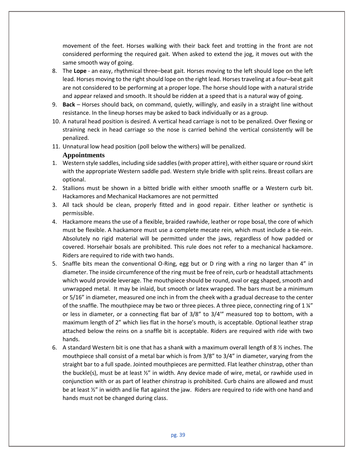movement of the feet. Horses walking with their back feet and trotting in the front are not considered performing the required gait. When asked to extend the jog, it moves out with the same smooth way of going.

- 8. The **Lope** an easy, rhythmical three–beat gait. Horses moving to the left should lope on the left lead. Horses moving to the right should lope on the right lead. Horses traveling at a four–beat gait are not considered to be performing at a proper lope. The horse should lope with a natural stride and appear relaxed and smooth. It should be ridden at a speed that is a natural way of going.
- 9. **Back** Horses should back, on command, quietly, willingly, and easily in a straight line without resistance. In the lineup horses may be asked to back individually or as a group.
- 10. A natural head position is desired. A vertical head carriage is not to be penalized. Over flexing or straining neck in head carriage so the nose is carried behind the vertical consistently will be penalized.
- 11. Unnatural low head position (poll below the withers) will be penalized.

#### **Appointments**

- 1. Western style saddles, including side saddles (with proper attire), with either square or round skirt with the appropriate Western saddle pad. Western style bridle with split reins. Breast collars are optional.
- 2. Stallions must be shown in a bitted bridle with either smooth snaffle or a Western curb bit. Hackamores and Mechanical Hackamores are not permitted
- 3. All tack should be clean, properly fitted and in good repair. Either leather or synthetic is permissible.
- 4. Hackamore means the use of a flexible, braided rawhide, leather or rope bosal, the core of which must be flexible. A hackamore must use a complete mecate rein, which must include a tie-rein. Absolutely no rigid material will be permitted under the jaws, regardless of how padded or covered. Horsehair bosals are prohibited. This rule does not refer to a mechanical hackamore. Riders are required to ride with two hands.
- 5. Snaffle bits mean the conventional O-Ring, egg but or D ring with a ring no larger than 4" in diameter. The inside circumference of the ring must be free of rein, curb or headstall attachments which would provide leverage. The mouthpiece should be round, oval or egg shaped, smooth and unwrapped metal. It may be inlaid, but smooth or latex wrapped. The bars must be a minimum or 5/16" in diameter, measured one inch in from the cheek with a gradual decrease to the center of the snaffle. The mouthpiece may be two or three pieces. A three piece, connecting ring of  $1\frac{u''}{v}$ or less in diameter, or a connecting flat bar of 3/8" to 3/4'" measured top to bottom, with a maximum length of 2" which lies flat in the horse's mouth, is acceptable. Optional leather strap attached below the reins on a snaffle bit is acceptable. Riders are required with ride with two hands.
- 6. A standard Western bit is one that has a shank with a maximum overall length of 8  $\frac{1}{2}$  inches. The mouthpiece shall consist of a metal bar which is from 3/8" to 3/4" in diameter, varying from the straight bar to a full spade. Jointed mouthpieces are permitted. Flat leather chinstrap, other than the buckle(s), must be at least  $\frac{y''}{x}$  in width. Any device made of wire, metal, or rawhide used in conjunction with or as part of leather chinstrap is prohibited. Curb chains are allowed and must be at least ½" in width and lie flat against the jaw. Riders are required to ride with one hand and hands must not be changed during class.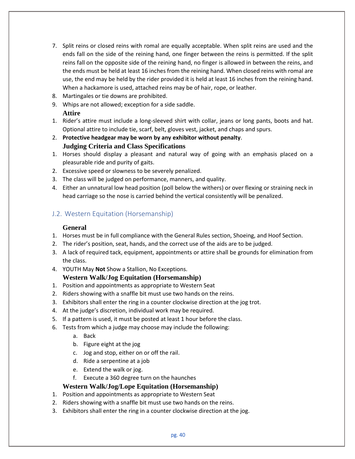- 7. Split reins or closed reins with romal are equally acceptable. When split reins are used and the ends fall on the side of the reining hand, one finger between the reins is permitted. If the split reins fall on the opposite side of the reining hand, no finger is allowed in between the reins, and the ends must be held at least 16 inches from the reining hand. When closed reins with romal are use, the end may be held by the rider provided it is held at least 16 inches from the reining hand. When a hackamore is used, attached reins may be of hair, rope, or leather.
- 8. Martingales or tie downs are prohibited.
- 9. Whips are not allowed; exception for a side saddle. **Attire**
- 1. Rider's attire must include a long-sleeved shirt with collar, jeans or long pants, boots and hat. Optional attire to include tie, scarf, belt, gloves vest, jacket, and chaps and spurs.
- 2. **Protective headgear may be worn by any exhibitor without penalty**. **Judging Criteria and Class Specifications**
- 1. Horses should display a pleasant and natural way of going with an emphasis placed on a pleasurable ride and purity of gaits.
- 2. Excessive speed or slowness to be severely penalized.
- 3. The class will be judged on performance, manners, and quality.
- 4. Either an unnatural low head position (poll below the withers) or over flexing or straining neck in head carriage so the nose is carried behind the vertical consistently will be penalized.

# J.2. Western Equitation (Horsemanship)

## **General**

- 1. Horses must be in full compliance with the General Rules section, Shoeing, and Hoof Section.
- 2. The rider's position, seat, hands, and the correct use of the aids are to be judged.
- 3. A lack of required tack, equipment, appointments or attire shall be grounds for elimination from the class.
- 4. YOUTH May **Not** Show a Stallion, No Exceptions.

# **Western Walk/Jog Equitation (Horsemanship)**

- 1. Position and appointments as appropriate to Western Seat
- 2. Riders showing with a snaffle bit must use two hands on the reins.
- 3. Exhibitors shall enter the ring in a counter clockwise direction at the jog trot.
- 4. At the judge's discretion, individual work may be required.
- 5. If a pattern is used, it must be posted at least 1 hour before the class.
- 6. Tests from which a judge may choose may include the following:
	- a. Back
	- b. Figure eight at the jog
	- c. Jog and stop, either on or off the rail.
	- d. Ride a serpentine at a job
	- e. Extend the walk or jog.
	- f. Execute a 360 degree turn on the haunches

## **Western Walk/Jog/Lope Equitation (Horsemanship)**

- 1. Position and appointments as appropriate to Western Seat
- 2. Riders showing with a snaffle bit must use two hands on the reins.
- 3. Exhibitors shall enter the ring in a counter clockwise direction at the jog.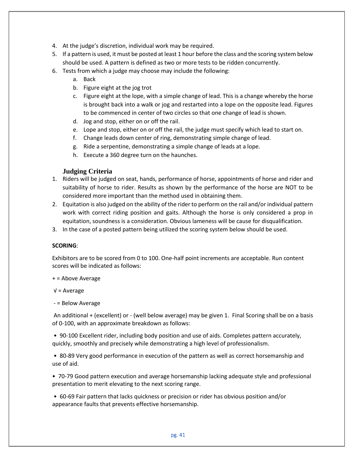- 4. At the judge's discretion, individual work may be required.
- 5. If a pattern is used, it must be posted at least 1 hour before the class and the scoring system below should be used. A pattern is defined as two or more tests to be ridden concurrently.
- 6. Tests from which a judge may choose may include the following:
	- a. Back
	- b. Figure eight at the jog trot
	- c. Figure eight at the lope, with a simple change of lead. This is a change whereby the horse is brought back into a walk or jog and restarted into a lope on the opposite lead. Figures to be commenced in center of two circles so that one change of lead is shown.
	- d. Jog and stop, either on or off the rail.
	- e. Lope and stop, either on or off the rail, the judge must specify which lead to start on.
	- f. Change leads down center of ring, demonstrating simple change of lead.
	- g. Ride a serpentine, demonstrating a simple change of leads at a lope.
	- h. Execute a 360 degree turn on the haunches.

#### **Judging Criteria**

- 1. Riders will be judged on seat, hands, performance of horse, appointments of horse and rider and suitability of horse to rider. Results as shown by the performance of the horse are NOT to be considered more important than the method used in obtaining them.
- 2. Equitation is also judged on the ability of the rider to perform on the rail and/or individual pattern work with correct riding position and gaits. Although the horse is only considered a prop in equitation, soundness is a consideration. Obvious lameness will be cause for disqualification.
- 3. In the case of a posted pattern being utilized the scoring system below should be used.

#### **SCORING**:

Exhibitors are to be scored from 0 to 100. One-half point increments are acceptable. Run content scores will be indicated as follows:

+ = Above Average

√ = Average

- = Below Average

An additional + (excellent) or - (well below average) may be given 1. Final Scoring shall be on a basis of 0-100, with an approximate breakdown as follows:

• 90-100 Excellent rider, including body position and use of aids. Completes pattern accurately, quickly, smoothly and precisely while demonstrating a high level of professionalism.

• 80-89 Very good performance in execution of the pattern as well as correct horsemanship and use of aid.

• 70-79 Good pattern execution and average horsemanship lacking adequate style and professional presentation to merit elevating to the next scoring range.

• 60-69 Fair pattern that lacks quickness or precision or rider has obvious position and/or appearance faults that prevents effective horsemanship.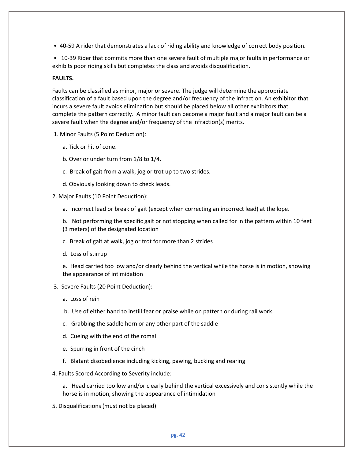• 40-59 A rider that demonstrates a lack of riding ability and knowledge of correct body position.

• 10-39 Rider that commits more than one severe fault of multiple major faults in performance or exhibits poor riding skills but completes the class and avoids disqualification.

#### **FAULTS.**

Faults can be classified as minor, major or severe. The judge will determine the appropriate classification of a fault based upon the degree and/or frequency of the infraction. An exhibitor that incurs a severe fault avoids elimination but should be placed below all other exhibitors that complete the pattern correctly. A minor fault can become a major fault and a major fault can be a severe fault when the degree and/or frequency of the infraction(s) merits.

- 1. Minor Faults (5 Point Deduction):
	- a. Tick or hit of cone.
	- b. Over or under turn from 1/8 to 1/4.
	- c. Break of gait from a walk, jog or trot up to two strides.
	- d. Obviously looking down to check leads.
- 2. Major Faults (10 Point Deduction):
	- a. Incorrect lead or break of gait (except when correcting an incorrect lead) at the lope.

b. Not performing the specific gait or not stopping when called for in the pattern within 10 feet (3 meters) of the designated location

- c. Break of gait at walk, jog or trot for more than 2 strides
- d. Loss of stirrup

e. Head carried too low and/or clearly behind the vertical while the horse is in motion, showing the appearance of intimidation

- 3. Severe Faults (20 Point Deduction):
	- a. Loss of rein
	- b. Use of either hand to instill fear or praise while on pattern or during rail work.
	- c. Grabbing the saddle horn or any other part of the saddle
	- d. Cueing with the end of the romal
	- e. Spurring in front of the cinch
	- f. Blatant disobedience including kicking, pawing, bucking and rearing
- 4. Faults Scored According to Severity include:

a. Head carried too low and/or clearly behind the vertical excessively and consistently while the horse is in motion, showing the appearance of intimidation

5. Disqualifications (must not be placed):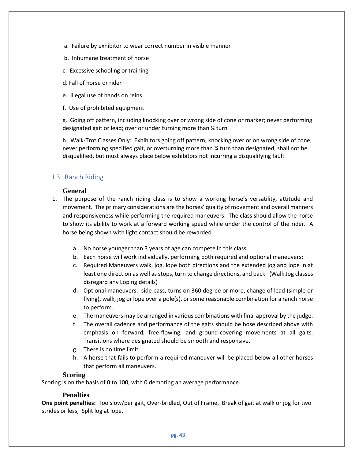- a. Failure by exhibitor to wear correct number in visible manner
- b. Inhumane treatment of horse
- c. Excessive schooling or training
- d. Fall of horse or rider
- e. Illegal use of hands on reins
- f. Use of prohibited equipment

g. Going off pattern, including knocking over or wrong side of cone or marker; never performing designated gait or lead; over or under turning more than ¼ turn

h. Walk-Trot Classes Only: Exhibitors going off pattern, knocking over or on wrong side of cone, never performing specified gait, or overturning more than ¼ turn than designated, shall not be disqualified, but must always place below exhibitors not incurring a disqualifying fault

## J.3. Ranch Riding

#### **General**

- 1. The purpose of the ranch riding class is to show a working horse's versatility, attitude and movement. The primary considerations are the horses' quality of movement and overall manners and responsiveness while performing the required maneuvers. The class should allow the horse to show its ability to work at a forward working speed while under the control of the rider. A horse being shown with light contact should be rewarded.
	- a. No horse younger than 3 years of age can compete in this class
	- b. Each horse will work individually, performing both required and optional maneuvers:
	- c. Required Maneuvers walk, jog, lope both directions and the extended jog and lope in at least one direction as well as stops, turn to change directions, and back. (Walk Jog classes disregard any Loping details)
	- d. Optional maneuvers: side pass, turns on 360 degree or more, change of lead (simple or flying), walk, jog or lope over a pole(s), or some reasonable combination for a ranch horse to perform.
	- e. The maneuvers may be arranged in various combinations with final approval by the judge.
	- f. The overall cadence and performance of the gaits should be hose described above with emphasis on forward, free-flowing, and ground-covering movements at all gaits. Transitions where designated should be smooth and responsive.
	- g. There is no time limit.
	- h. A horse that fails to perform a required maneuver will be placed below all other horses that perform all maneuvers.

#### **Scoring**

Scoring is on the basis of 0 to 100, with 0 demoting an average performance.

#### **Penalties**

**One point penalties:** Too slow/per gait, Over-bridled, Out of Frame, Break of gait at walk or jog for two strides or less, Split log at lope.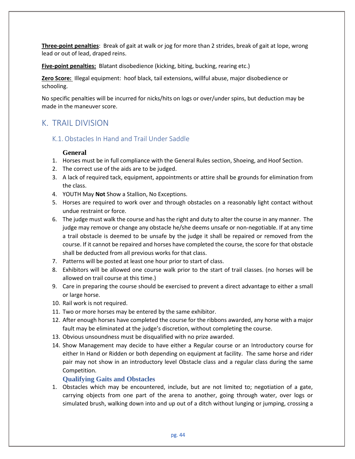**Three-point penalties**: Break of gait at walk or jog for more than 2 strides, break of gait at lope, wrong lead or out of lead, draped reins.

**Five-point penalties:** Blatant disobedience (kicking, biting, bucking, rearing etc.)

**Zero Score:** Illegal equipment: hoof black, tail extensions, willful abuse, major disobedience or schooling.

No specific penalties will be incurred for nicks/hits on logs or over/under spins, but deduction may be made in the maneuver score.

# K. TRAIL DIVISION

# K.1. Obstacles In Hand and Trail Under Saddle

## **General**

- 1. Horses must be in full compliance with the General Rules section, Shoeing, and Hoof Section.
- 2. The correct use of the aids are to be judged.
- 3. A lack of required tack, equipment, appointments or attire shall be grounds for elimination from the class.
- 4. YOUTH May **Not** Show a Stallion, No Exceptions.
- 5. Horses are required to work over and through obstacles on a reasonably light contact without undue restraint or force.
- 6. The judge must walk the course and has the right and duty to alter the course in any manner. The judge may remove or change any obstacle he/she deems unsafe or non-negotiable. If at any time a trail obstacle is deemed to be unsafe by the judge it shall be repaired or removed from the course. If it cannot be repaired and horses have completed the course, the score for that obstacle shall be deducted from all previous works for that class.
- 7. Patterns will be posted at least one hour prior to start of class.
- 8. Exhibitors will be allowed one course walk prior to the start of trail classes. (no horses will be allowed on trail course at this time.)
- 9. Care in preparing the course should be exercised to prevent a direct advantage to either a small or large horse.
- 10. Rail work is not required.
- 11. Two or more horses may be entered by the same exhibitor.
- 12. After enough horses have completed the course for the ribbons awarded, any horse with a major fault may be eliminated at the judge's discretion, without completing the course.
- 13. Obvious unsoundness must be disqualified with no prize awarded.
- 14. Show Management may decide to have either a Regular course or an Introductory course for either In Hand or Ridden or both depending on equipment at facility. The same horse and rider pair may not show in an introductory level Obstacle class and a regular class during the same Competition.

## **Qualifying Gaits and Obstacles**

1. Obstacles which may be encountered, include, but are not limited to; negotiation of a gate, carrying objects from one part of the arena to another, going through water, over logs or simulated brush, walking down into and up out of a ditch without lunging or jumping, crossing a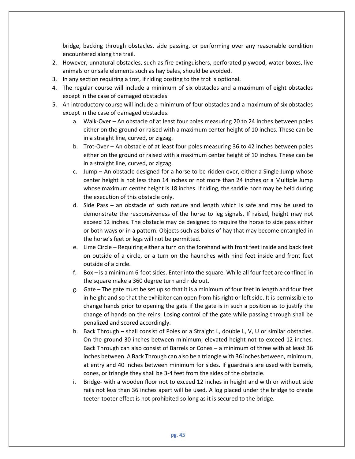bridge, backing through obstacles, side passing, or performing over any reasonable condition encountered along the trail.

- 2. However, unnatural obstacles, such as fire extinguishers, perforated plywood, water boxes, live animals or unsafe elements such as hay bales, should be avoided.
- 3. In any section requiring a trot, if riding posting to the trot is optional.
- 4. The regular course will include a minimum of six obstacles and a maximum of eight obstacles except in the case of damaged obstacles
- 5. An introductory course will include a minimum of four obstacles and a maximum of six obstacles except in the case of damaged obstacles.
	- a. Walk-Over An obstacle of at least four poles measuring 20 to 24 inches between poles either on the ground or raised with a maximum center height of 10 inches. These can be in a straight line, curved, or zigzag.
	- b. Trot-Over An obstacle of at least four poles measuring 36 to 42 inches between poles either on the ground or raised with a maximum center height of 10 inches. These can be in a straight line, curved, or zigzag.
	- c. Jump An obstacle designed for a horse to be ridden over, either a Single Jump whose center height is not less than 14 inches or not more than 24 inches or a Multiple Jump whose maximum center height is 18 inches. If riding, the saddle horn may be held during the execution of this obstacle only.
	- d. Side Pass an obstacle of such nature and length which is safe and may be used to demonstrate the responsiveness of the horse to leg signals. If raised, height may not exceed 12 inches. The obstacle may be designed to require the horse to side pass either or both ways or in a pattern. Objects such as bales of hay that may become entangled in the horse's feet or legs will not be permitted.
	- e. Lime Circle Requiring either a turn on the forehand with front feet inside and back feet on outside of a circle, or a turn on the haunches with hind feet inside and front feet outside of a circle.
	- f. Box is a minimum 6-foot sides. Enter into the square. While all four feet are confined in the square make a 360 degree turn and ride out.
	- g. Gate The gate must be set up so that it is a minimum of four feet in length and four feet in height and so that the exhibitor can open from his right or left side. It is permissible to change hands prior to opening the gate if the gate is in such a position as to justify the change of hands on the reins. Losing control of the gate while passing through shall be penalized and scored accordingly.
	- h. Back Through shall consist of Poles or a Straight L, double L, V, U or similar obstacles. On the ground 30 inches between minimum; elevated height not to exceed 12 inches. Back Through can also consist of Barrels or Cones – a minimum of three with at least 36 inches between. A Back Through can also be a triangle with 36 inches between, minimum, at entry and 40 inches between minimum for sides. If guardrails are used with barrels, cones, or triangle they shall be 3-4 feet from the sides of the obstacle.
	- i. Bridge- with a wooden floor not to exceed 12 inches in height and with or without side rails not less than 36 inches apart will be used. A log placed under the bridge to create teeter-tooter effect is not prohibited so long as it is secured to the bridge.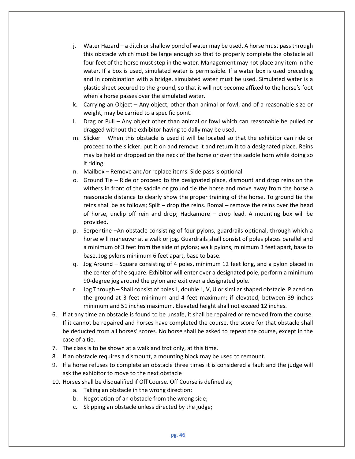- j. Water Hazard a ditch or shallow pond of water may be used. A horse must pass through this obstacle which must be large enough so that to properly complete the obstacle all four feet of the horse must step in the water. Management may not place any item in the water. If a box is used, simulated water is permissible. If a water box is used preceding and in combination with a bridge, simulated water must be used. Simulated water is a plastic sheet secured to the ground, so that it will not become affixed to the horse's foot when a horse passes over the simulated water.
- k. Carrying an Object Any object, other than animal or fowl, and of a reasonable size or weight, may be carried to a specific point.
- l. Drag or Pull Any object other than animal or fowl which can reasonable be pulled or dragged without the exhibitor having to dally may be used.
- m. Slicker When this obstacle is used it will be located so that the exhibitor can ride or proceed to the slicker, put it on and remove it and return it to a designated place. Reins may be held or dropped on the neck of the horse or over the saddle horn while doing so if riding.
- n. Mailbox Remove and/or replace items. Side pass is optional
- o. Ground Tie Ride or proceed to the designated place, dismount and drop reins on the withers in front of the saddle or ground tie the horse and move away from the horse a reasonable distance to clearly show the proper training of the horse. To ground tie the reins shall be as follows; Spilt – drop the reins. Romal – remove the reins over the head of horse, unclip off rein and drop; Hackamore – drop lead. A mounting box will be provided.
- p. Serpentine –An obstacle consisting of four pylons, guardrails optional, through which a horse will maneuver at a walk or jog. Guardrails shall consist of poles places parallel and a minimum of 3 feet from the side of pylons; walk pylons, minimum 3 feet apart, base to base. Jog pylons minimum 6 feet apart, base to base.
- q. Jog Around Square consisting of 4 poles, minimum 12 feet long, and a pylon placed in the center of the square. Exhibitor will enter over a designated pole, perform a minimum 90-degree jog around the pylon and exit over a designated pole.
- r. Jog Through Shall consist of poles L, double L, V, U or similar shaped obstacle. Placed on the ground at 3 feet minimum and 4 feet maximum; if elevated, between 39 inches minimum and 51 inches maximum. Elevated height shall not exceed 12 inches.
- 6. If at any time an obstacle is found to be unsafe, it shall be repaired or removed from the course. If it cannot be repaired and horses have completed the course, the score for that obstacle shall be deducted from all horses' scores. No horse shall be asked to repeat the course, except in the case of a tie.
- 7. The class is to be shown at a walk and trot only, at this time.
- 8. If an obstacle requires a dismount, a mounting block may be used to remount.
- 9. If a horse refuses to complete an obstacle three times it is considered a fault and the judge will ask the exhibitor to move to the next obstacle
- 10. Horses shall be disqualified if Off Course. Off Course is defined as;
	- a. Taking an obstacle in the wrong direction;
	- b. Negotiation of an obstacle from the wrong side;
	- c. Skipping an obstacle unless directed by the judge;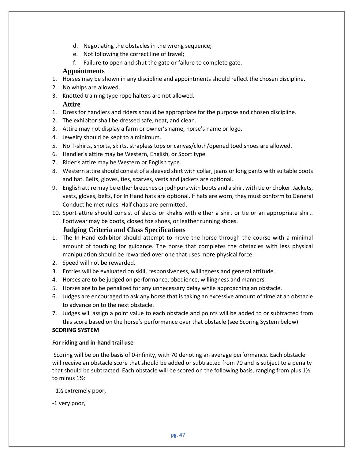- d. Negotiating the obstacles in the wrong sequence;
- e. Not following the correct line of travel;
- f. Failure to open and shut the gate or failure to complete gate.

#### **Appointments**

- 1. Horses may be shown in any discipline and appointments should reflect the chosen discipline.
- 2. No whips are allowed.
- 3. Knotted training type rope halters are not allowed.

#### **Attire**

- 1. Dress for handlers and riders should be appropriate for the purpose and chosen discipline.
- 2. The exhibitor shall be dressed safe, neat, and clean.
- 3. Attire may not display a farm or owner's name, horse's name or logo.
- 4. Jewelry should be kept to a minimum.
- 5. No T-shirts, shorts, skirts, strapless tops or canvas/cloth/opened toed shoes are allowed.
- 6. Handler's attire may be Western, English, or Sport type.
- 7. Rider's attire may be Western or English type.
- 8. Western attire should consist of a sleeved shirt with collar, jeans or long pants with suitable boots and hat. Belts, gloves, ties, scarves, vests and jackets are optional.
- 9. English attire may be either breeches or jodhpurs with boots and a shirt with tie or choker. Jackets, vests, gloves, belts, For In Hand hats are optional. If hats are worn, they must conform to General Conduct helmet rules. Half chaps are permitted.
- 10. Sport attire should consist of slacks or khakis with either a shirt or tie or an appropriate shirt. Footwear may be boots, closed toe shoes, or leather running shoes.

#### **Judging Criteria and Class Specifications**

- 1. The In Hand exhibitor should attempt to move the horse through the course with a minimal amount of touching for guidance. The horse that completes the obstacles with less physical manipulation should be rewarded over one that uses more physical force.
- 2. Speed will not be rewarded.
- 3. Entries will be evaluated on skill, responsiveness, willingness and general attitude.
- 4. Horses are to be judged on performance, obedience, willingness and manners.
- 5. Horses are to be penalized for any unnecessary delay while approaching an obstacle.
- 6. Judges are encouraged to ask any horse that is taking an excessive amount of time at an obstacle to advance on to the next obstacle.
- 7. Judges will assign a point value to each obstacle and points will be added to or subtracted from this score based on the horse's performance over that obstacle (see Scoring System below)

#### **SCORING SYSTEM**

#### **For riding and in-hand trail use**

Scoring will be on the basis of 0-infinity, with 70 denoting an average performance. Each obstacle will receive an obstacle score that should be added or subtracted from 70 and is subject to a penalty that should be subtracted. Each obstacle will be scored on the following basis, ranging from plus  $1\frac{1}{2}$ to minus 1½:

-1½ extremely poor,

-1 very poor,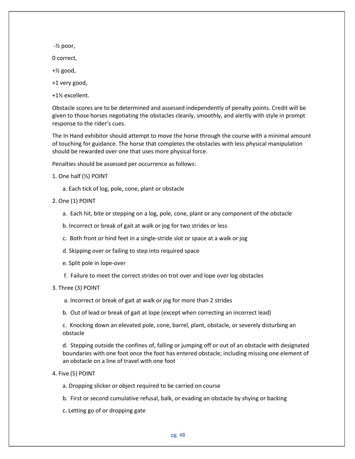$-$ <sup> $\frac{1}{2}$ </sup> poor,

0 correct,

- $+$ <sup> $\frac{1}{2}$ </sup> good,
- +1 very good,
- +1½ excellent.

Obstacle scores are to be determined and assessed independently of penalty points. Credit will be given to those horses negotiating the obstacles cleanly, smoothly, and alertly with style in prompt response to the rider's cues.

The In Hand exhibitor should attempt to move the horse through the course with a minimal amount of touching for guidance. The horse that completes the obstacles with less physical manipulation should be rewarded over one that uses more physical force.

Penalties should be assessed per occurrence as follows:

- 1. One half (½) POINT
	- a. Each tick of log, pole, cone, plant or obstacle
- 2. One (1) POINT
	- a. Each hit, bite or stepping on a log, pole, cone, plant or any component of the obstacle
	- b. Incorrect or break of gait at walk or jog for two strides or less
	- c. Both front or hind feet in a single-stride slot or space at a walk or jog
	- d. Skipping over or failing to step into required space
	- e. Split pole in lope-over
	- f. Failure to meet the correct strides on trot over and lope over log obstacles

#### 3. Three (3) POINT

- a. Incorrect or break of gait at walk or jog for more than 2 strides
- b. Out of lead or break of gait at lope (except when correcting an incorrect lead)

c. Knocking down an elevated pole, cone, barrel, plant, obstacle, or severely disturbing an obstacle

d. Stepping outside the confines of, falling or jumping off or out of an obstacle with designated boundaries with one foot once the foot has entered obstacle; including missing one element of an obstacle on a line of travel with one foot

#### 4. Five (5) POINT

- a. Dropping slicker or object required to be carried on course
- b. First or second cumulative refusal, balk, or evading an obstacle by shying or backing
- c. Letting go of or dropping gate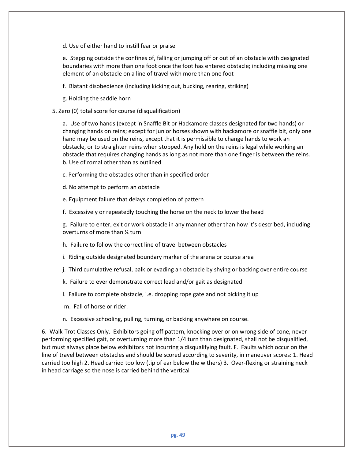d. Use of either hand to instill fear or praise

e. Stepping outside the confines of, falling or jumping off or out of an obstacle with designated boundaries with more than one foot once the foot has entered obstacle; including missing one element of an obstacle on a line of travel with more than one foot

f. Blatant disobedience (including kicking out, bucking, rearing, striking)

- g. Holding the saddle horn
- 5. Zero (0) total score for course (disqualification)

a. Use of two hands (except in Snaffle Bit or Hackamore classes designated for two hands) or changing hands on reins; except for junior horses shown with hackamore or snaffle bit, only one hand may be used on the reins, except that it is permissible to change hands to work an obstacle, or to straighten reins when stopped. Any hold on the reins is legal while working an obstacle that requires changing hands as long as not more than one finger is between the reins. b. Use of romal other than as outlined

c. Performing the obstacles other than in specified order

d. No attempt to perform an obstacle

e. Equipment failure that delays completion of pattern

f. Excessively or repeatedly touching the horse on the neck to lower the head

g. Failure to enter, exit or work obstacle in any manner other than how it's described, including overturns of more than ¼ turn

h. Failure to follow the correct line of travel between obstacles

i. Riding outside designated boundary marker of the arena or course area

- j. Third cumulative refusal, balk or evading an obstacle by shying or backing over entire course
- k. Failure to ever demonstrate correct lead and/or gait as designated
- l. Failure to complete obstacle, i.e. dropping rope gate and not picking it up
- m. Fall of horse or rider.
- n. Excessive schooling, pulling, turning, or backing anywhere on course.

6. Walk-Trot Classes Only. Exhibitors going off pattern, knocking over or on wrong side of cone, never performing specified gait, or overturning more than 1/4 turn than designated, shall not be disqualified, but must always place below exhibitors not incurring a disqualifying fault. F. Faults which occur on the line of travel between obstacles and should be scored according to severity, in maneuver scores: 1. Head carried too high 2. Head carried too low (tip of ear below the withers) 3. Over-flexing or straining neck in head carriage so the nose is carried behind the vertical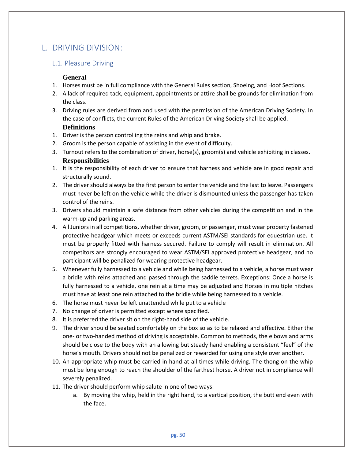# L. DRIVING DIVISION:

# L.1. Pleasure Driving

## **General**

- 1. Horses must be in full compliance with the General Rules section, Shoeing, and Hoof Sections.
- 2. A lack of required tack, equipment, appointments or attire shall be grounds for elimination from the class.
- 3. Driving rules are derived from and used with the permission of the American Driving Society. In the case of conflicts, the current Rules of the American Driving Society shall be applied. **Definitions**
- 1. Driver is the person controlling the reins and whip and brake.
- 2. Groom is the person capable of assisting in the event of difficulty.
- 3. Turnout refers to the combination of driver, horse(s), groom(s) and vehicle exhibiting in classes. **Responsibilities**
- 1. It is the responsibility of each driver to ensure that harness and vehicle are in good repair and structurally sound.
- 2. The driver should always be the first person to enter the vehicle and the last to leave. Passengers must never be left on the vehicle while the driver is dismounted unless the passenger has taken control of the reins.
- 3. Drivers should maintain a safe distance from other vehicles during the competition and in the warm-up and parking areas.
- 4. All Juniors in all competitions, whether driver, groom, or passenger, must wear property fastened protective headgear which meets or exceeds current ASTM/SEI standards for equestrian use. It must be properly fitted with harness secured. Failure to comply will result in elimination. All competitors are strongly encouraged to wear ASTM/SEI approved protective headgear, and no participant will be penalized for wearing protective headgear.
- 5. Whenever fully harnessed to a vehicle and while being harnessed to a vehicle, a horse must wear a bridle with reins attached and passed through the saddle terrets. Exceptions: Once a horse is fully harnessed to a vehicle, one rein at a time may be adjusted and Horses in multiple hitches must have at least one rein attached to the bridle while being harnessed to a vehicle.
- 6. The horse must never be left unattended while put to a vehicle
- 7. No change of driver is permitted except where specified.
- 8. It is preferred the driver sit on the right-hand side of the vehicle.
- 9. The driver should be seated comfortably on the box so as to be relaxed and effective. Either the one- or two-handed method of driving is acceptable. Common to methods, the elbows and arms should be close to the body with an allowing but steady hand enabling a consistent "feel" of the horse's mouth. Drivers should not be penalized or rewarded for using one style over another.
- 10. An appropriate whip must be carried in hand at all times while driving. The thong on the whip must be long enough to reach the shoulder of the farthest horse. A driver not in compliance will severely penalized.
- 11. The driver should perform whip salute in one of two ways:
	- a. By moving the whip, held in the right hand, to a vertical position, the butt end even with the face.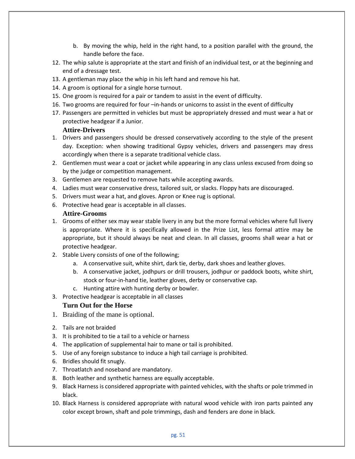- b. By moving the whip, held in the right hand, to a position parallel with the ground, the handle before the face.
- 12. The whip salute is appropriate at the start and finish of an individual test, or at the beginning and end of a dressage test.
- 13. A gentleman may place the whip in his left hand and remove his hat.
- 14. A groom is optional for a single horse turnout.
- 15. One groom is required for a pair or tandem to assist in the event of difficulty.
- 16. Two grooms are required for four –in-hands or unicorns to assist in the event of difficulty
- 17. Passengers are permitted in vehicles but must be appropriately dressed and must wear a hat or protective headgear if a Junior.

#### **Attire-Drivers**

- 1. Drivers and passengers should be dressed conservatively according to the style of the present day. Exception: when showing traditional Gypsy vehicles, drivers and passengers may dress accordingly when there is a separate traditional vehicle class.
- 2. Gentlemen must wear a coat or jacket while appearing in any class unless excused from doing so by the judge or competition management.
- 3. Gentlemen are requested to remove hats while accepting awards.
- 4. Ladies must wear conservative dress, tailored suit, or slacks. Floppy hats are discouraged.
- 5. Drivers must wear a hat, and gloves. Apron or Knee rug is optional.
- 6. Protective head gear is acceptable in all classes.

#### **Attire-Grooms**

- 1. Grooms of either sex may wear stable livery in any but the more formal vehicles where full livery is appropriate. Where it is specifically allowed in the Prize List, less formal attire may be appropriate, but it should always be neat and clean. In all classes, grooms shall wear a hat or protective headgear.
- 2. Stable Livery consists of one of the following;
	- a. A conservative suit, white shirt, dark tie, derby, dark shoes and leather gloves.
	- b. A conservative jacket, jodhpurs or drill trousers, jodhpur or paddock boots, white shirt, stock or four-in-hand tie, leather gloves, derby or conservative cap.
	- c. Hunting attire with hunting derby or bowler.
- 3. Protective headgear is acceptable in all classes

#### **Turn Out for the Horse**

- 1. Braiding of the mane is optional.
- 2. Tails are not braided
- 3. It is prohibited to tie a tail to a vehicle or harness
- 4. The application of supplemental hair to mane or tail is prohibited.
- 5. Use of any foreign substance to induce a high tail carriage is prohibited.
- 6. Bridles should fit snugly.
- 7. Throatlatch and noseband are mandatory.
- 8. Both leather and synthetic harness are equally acceptable.
- 9. Black Harness is considered appropriate with painted vehicles, with the shafts or pole trimmed in black.
- 10. Black Harness is considered appropriate with natural wood vehicle with iron parts painted any color except brown, shaft and pole trimmings, dash and fenders are done in black.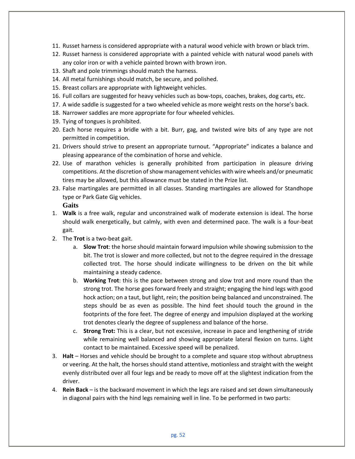- 11. Russet harness is considered appropriate with a natural wood vehicle with brown or black trim.
- 12. Russet harness is considered appropriate with a painted vehicle with natural wood panels with any color iron or with a vehicle painted brown with brown iron.
- 13. Shaft and pole trimmings should match the harness.
- 14. All metal furnishings should match, be secure, and polished.
- 15. Breast collars are appropriate with lightweight vehicles.
- 16. Full collars are suggested for heavy vehicles such as bow-tops, coaches, brakes, dog carts, etc.
- 17. A wide saddle is suggested for a two wheeled vehicle as more weight rests on the horse's back.
- 18. Narrower saddles are more appropriate for four wheeled vehicles.
- 19. Tying of tongues is prohibited.
- 20. Each horse requires a bridle with a bit. Burr, gag, and twisted wire bits of any type are not permitted in competition.
- 21. Drivers should strive to present an appropriate turnout. "Appropriate" indicates a balance and pleasing appearance of the combination of horse and vehicle.
- 22. Use of marathon vehicles is generally prohibited from participation in pleasure driving competitions. At the discretion of show management vehicles with wire wheels and/or pneumatic tires may be allowed, but this allowance must be stated in the Prize list.
- 23. False martingales are permitted in all classes. Standing martingales are allowed for Standhope type or Park Gate Gig vehicles.

**Gaits**

- 1. **Walk** is a free walk, regular and unconstrained walk of moderate extension is ideal. The horse should walk energetically, but calmly, with even and determined pace. The walk is a four-beat gait.
- 2. The **Trot** is a two-beat gait.
	- a. **Slow Trot**: the horse should maintain forward impulsion while showing submission to the bit. The trot is slower and more collected, but not to the degree required in the dressage collected trot. The horse should indicate willingness to be driven on the bit while maintaining a steady cadence.
	- b. **Working Trot**: this is the pace between strong and slow trot and more round than the strong trot. The horse goes forward freely and straight; engaging the hind legs with good hock action; on a taut, but light, rein; the position being balanced and unconstrained. The steps should be as even as possible. The hind feet should touch the ground in the footprints of the fore feet. The degree of energy and impulsion displayed at the working trot denotes clearly the degree of suppleness and balance of the horse.
	- c. **Strong Trot:** This is a clear, but not excessive, increase in pace and lengthening of stride while remaining well balanced and showing appropriate lateral flexion on turns. Light contact to be maintained. Excessive speed will be penalized.
- 3. **Halt**  Horses and vehicle should be brought to a complete and square stop without abruptness or veering. At the halt, the horses should stand attentive, motionless and straight with the weight evenly distributed over all four legs and be ready to move off at the slightest indication from the driver.
- 4. **Rein Back** is the backward movement in which the legs are raised and set down simultaneously in diagonal pairs with the hind legs remaining well in line. To be performed in two parts: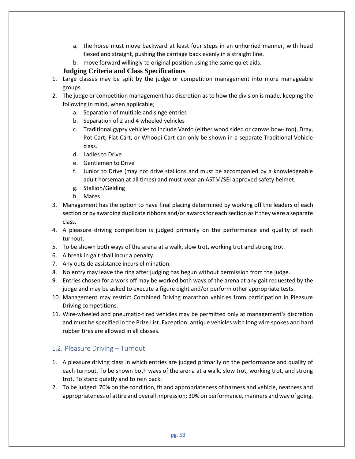- a. the horse must move backward at least four steps in an unhurried manner, with head flexed and straight, pushing the carriage back evenly in a straight line.
- b. move forward willingly to original position using the same quiet aids.

## **Judging Criteria and Class Specifications**

- 1. Large classes may be split by the judge or competition management into more manageable groups.
- 2. The judge or competition management has discretion as to how the division is made, keeping the following in mind, when applicable;
	- a. Separation of multiple and singe entries
	- b. Separation of 2 and 4 wheeled vehicles
	- c. Traditional gypsy vehicles to include Vardo (either wood sided or canvas bow- top), Dray, Pot Cart, Flat Cart, or Whoopi Cart can only be shown in a separate Traditional Vehicle class.
	- d. Ladies to Drive
	- e. Gentlemen to Drive
	- f. Junior to Drive (may not drive stallions and must be accompanied by a knowledgeable adult horseman at all times) and must wear an ASTM/SEI approved safety helmet.
	- g. Stallion/Gelding
	- h. Mares
- 3. Management has the option to have final placing determined by working off the leaders of each section or by awarding duplicate ribbons and/or awards for each section as if they were a separate class.
- 4. A pleasure driving competition is judged primarily on the performance and quality of each turnout.
- 5. To be shown both ways of the arena at a walk, slow trot, working trot and strong trot.
- 6. A break in gait shall incur a penalty.
- 7. Any outside assistance incurs elimination.
- 8. No entry may leave the ring after judging has begun without permission from the judge.
- 9. Entries chosen for a work off may be worked both ways of the arena at any gait requested by the judge and may be asked to execute a figure eight and/or perform other appropriate tests.
- 10. Management may restrict Combined Driving marathon vehicles from participation in Pleasure Driving competitions.
- 11. Wire-wheeled and pneumatic-tired vehicles may be permitted only at management's discretion and must be specified in the Prize List. Exception: antique vehicles with long wire spokes and hard rubber tires are allowed in all classes.

# L.2. Pleasure Driving – Turnout

- 1. A pleasure driving class in which entries are judged primarily on the performance and quality of each turnout. To be shown both ways of the arena at a walk, slow trot, working trot, and strong trot. To stand quietly and to rein back.
- 2. To be judged: 70% on the condition, fit and appropriateness of harness and vehicle, neatness and appropriateness of attire and overall impression; 30% on performance, manners and way of going.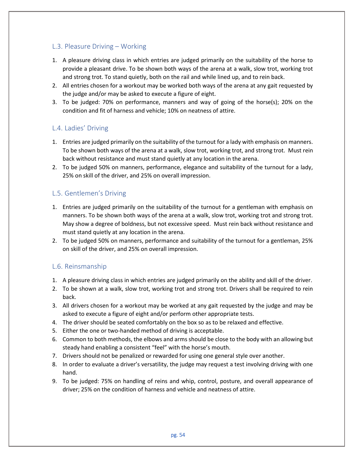# L.3. Pleasure Driving – Working

- 1. A pleasure driving class in which entries are judged primarily on the suitability of the horse to provide a pleasant drive. To be shown both ways of the arena at a walk, slow trot, working trot and strong trot. To stand quietly, both on the rail and while lined up, and to rein back.
- 2. All entries chosen for a workout may be worked both ways of the arena at any gait requested by the judge and/or may be asked to execute a figure of eight.
- 3. To be judged: 70% on performance, manners and way of going of the horse(s); 20% on the condition and fit of harness and vehicle; 10% on neatness of attire.

# L.4. Ladies' Driving

- 1. Entries are judged primarily on the suitability of the turnout for a lady with emphasis on manners. To be shown both ways of the arena at a walk, slow trot, working trot, and strong trot. Must rein back without resistance and must stand quietly at any location in the arena.
- 2. To be judged 50% on manners, performance, elegance and suitability of the turnout for a lady, 25% on skill of the driver, and 25% on overall impression.

# L.5. Gentlemen's Driving

- 1. Entries are judged primarily on the suitability of the turnout for a gentleman with emphasis on manners. To be shown both ways of the arena at a walk, slow trot, working trot and strong trot. May show a degree of boldness, but not excessive speed. Must rein back without resistance and must stand quietly at any location in the arena.
- 2. To be judged 50% on manners, performance and suitability of the turnout for a gentleman, 25% on skill of the driver, and 25% on overall impression.

# L.6. Reinsmanship

- 1. A pleasure driving class in which entries are judged primarily on the ability and skill of the driver.
- 2. To be shown at a walk, slow trot, working trot and strong trot. Drivers shall be required to rein back.
- 3. All drivers chosen for a workout may be worked at any gait requested by the judge and may be asked to execute a figure of eight and/or perform other appropriate tests.
- 4. The driver should be seated comfortably on the box so as to be relaxed and effective.
- 5. Either the one or two-handed method of driving is acceptable.
- 6. Common to both methods, the elbows and arms should be close to the body with an allowing but steady hand enabling a consistent "feel" with the horse's mouth.
- 7. Drivers should not be penalized or rewarded for using one general style over another.
- 8. In order to evaluate a driver's versatility, the judge may request a test involving driving with one hand.
- 9. To be judged: 75% on handling of reins and whip, control, posture, and overall appearance of driver; 25% on the condition of harness and vehicle and neatness of attire.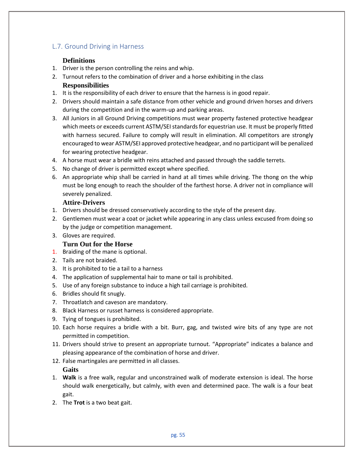# L.7. Ground Driving in Harness

## **Definitions**

- 1. Driver is the person controlling the reins and whip.
- 2. Turnout refers to the combination of driver and a horse exhibiting in the class **Responsibilities**
- 1. It is the responsibility of each driver to ensure that the harness is in good repair.
- 2. Drivers should maintain a safe distance from other vehicle and ground driven horses and drivers during the competition and in the warm-up and parking areas.
- 3. All Juniors in all Ground Driving competitions must wear property fastened protective headgear which meets or exceeds current ASTM/SEI standards for equestrian use. It must be properly fitted with harness secured. Failure to comply will result in elimination. All competitors are strongly encouraged to wear ASTM/SEI approved protective headgear, and no participant will be penalized for wearing protective headgear.
- 4. A horse must wear a bridle with reins attached and passed through the saddle terrets.
- 5. No change of driver is permitted except where specified.
- 6. An appropriate whip shall be carried in hand at all times while driving. The thong on the whip must be long enough to reach the shoulder of the farthest horse. A driver not in compliance will severely penalized.

## **Attire-Drivers**

- 1. Drivers should be dressed conservatively according to the style of the present day.
- 2. Gentlemen must wear a coat or jacket while appearing in any class unless excused from doing so by the judge or competition management.
- 3. Gloves are required.

# **Turn Out for the Horse**

- 1. Braiding of the mane is optional.
- 2. Tails are not braided.
- 3. It is prohibited to tie a tail to a harness
- 4. The application of supplemental hair to mane or tail is prohibited.
- 5. Use of any foreign substance to induce a high tail carriage is prohibited.
- 6. Bridles should fit snugly.
- 7. Throatlatch and caveson are mandatory.
- 8. Black Harness or russet harness is considered appropriate.
- 9. Tying of tongues is prohibited.
- 10. Each horse requires a bridle with a bit. Burr, gag, and twisted wire bits of any type are not permitted in competition.
- 11. Drivers should strive to present an appropriate turnout. "Appropriate" indicates a balance and pleasing appearance of the combination of horse and driver.
- 12. False martingales are permitted in all classes.

# **Gaits**

- 1. **Walk** is a free walk, regular and unconstrained walk of moderate extension is ideal. The horse should walk energetically, but calmly, with even and determined pace. The walk is a four beat gait.
- 2. The **Trot** is a two beat gait.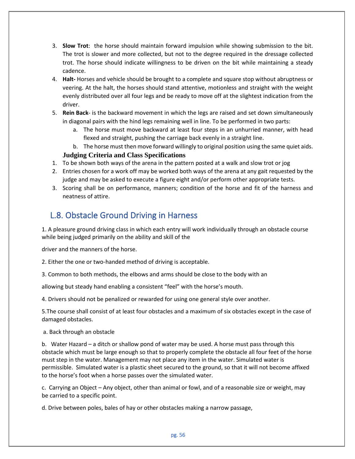- 3. **Slow Trot**: the horse should maintain forward impulsion while showing submission to the bit. The trot is slower and more collected, but not to the degree required in the dressage collected trot. The horse should indicate willingness to be driven on the bit while maintaining a steady cadence.
- 4. **Halt-** Horses and vehicle should be brought to a complete and square stop without abruptness or veering. At the halt, the horses should stand attentive, motionless and straight with the weight evenly distributed over all four legs and be ready to move off at the slightest indication from the driver.
- 5. **Rein Back** is the backward movement in which the legs are raised and set down simultaneously in diagonal pairs with the hind legs remaining well in line. To be performed in two parts:
	- a. The horse must move backward at least four steps in an unhurried manner, with head flexed and straight, pushing the carriage back evenly in a straight line.
	- b. The horse must then move forward willingly to original position using the same quiet aids.

## **Judging Criteria and Class Specifications**

- 1. To be shown both ways of the arena in the pattern posted at a walk and slow trot or jog
- 2. Entries chosen for a work off may be worked both ways of the arena at any gait requested by the judge and may be asked to execute a figure eight and/or perform other appropriate tests.
- 3. Scoring shall be on performance, manners; condition of the horse and fit of the harness and neatness of attire.

# L.8. Obstacle Ground Driving in Harness

1. A pleasure ground driving class in which each entry will work individually through an obstacle course while being judged primarily on the ability and skill of the

driver and the manners of the horse.

2. Either the one or two-handed method of driving is acceptable.

3. Common to both methods, the elbows and arms should be close to the body with an

allowing but steady hand enabling a consistent "feel" with the horse's mouth.

4. Drivers should not be penalized or rewarded for using one general style over another.

5.The course shall consist of at least four obstacles and a maximum of six obstacles except in the case of damaged obstacles.

a. Back through an obstacle

b. Water Hazard – a ditch or shallow pond of water may be used. A horse must pass through this obstacle which must be large enough so that to properly complete the obstacle all four feet of the horse must step in the water. Management may not place any item in the water. Simulated water is permissible. Simulated water is a plastic sheet secured to the ground, so that it will not become affixed to the horse's foot when a horse passes over the simulated water.

c. Carrying an Object – Any object, other than animal or fowl, and of a reasonable size or weight, may be carried to a specific point.

d. Drive between poles, bales of hay or other obstacles making a narrow passage,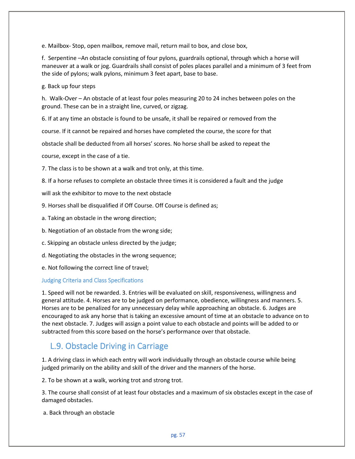e. Mailbox- Stop, open mailbox, remove mail, return mail to box, and close box,

f. Serpentine –An obstacle consisting of four pylons, guardrails optional, through which a horse will maneuver at a walk or jog. Guardrails shall consist of poles places parallel and a minimum of 3 feet from the side of pylons; walk pylons, minimum 3 feet apart, base to base.

g. Back up four steps

h. Walk-Over – An obstacle of at least four poles measuring 20 to 24 inches between poles on the ground. These can be in a straight line, curved, or zigzag.

6. If at any time an obstacle is found to be unsafe, it shall be repaired or removed from the

course. If it cannot be repaired and horses have completed the course, the score for that

obstacle shall be deducted from all horses' scores. No horse shall be asked to repeat the

course, except in the case of a tie.

7. The class is to be shown at a walk and trot only, at this time.

8. If a horse refuses to complete an obstacle three times it is considered a fault and the judge

will ask the exhibitor to move to the next obstacle

- 9. Horses shall be disqualified if Off Course. Off Course is defined as;
- a. Taking an obstacle in the wrong direction;
- b. Negotiation of an obstacle from the wrong side;
- c. Skipping an obstacle unless directed by the judge;
- d. Negotiating the obstacles in the wrong sequence;
- e. Not following the correct line of travel;

#### Judging Criteria and Class Specifications

1. Speed will not be rewarded. 3. Entries will be evaluated on skill, responsiveness, willingness and general attitude. 4. Horses are to be judged on performance, obedience, willingness and manners. 5. Horses are to be penalized for any unnecessary delay while approaching an obstacle. 6. Judges are encouraged to ask any horse that is taking an excessive amount of time at an obstacle to advance on to the next obstacle. 7. Judges will assign a point value to each obstacle and points will be added to or subtracted from this score based on the horse's performance over that obstacle.

# L.9. Obstacle Driving in Carriage

1. A driving class in which each entry will work individually through an obstacle course while being judged primarily on the ability and skill of the driver and the manners of the horse.

2. To be shown at a walk, working trot and strong trot.

3. The course shall consist of at least four obstacles and a maximum of six obstacles except in the case of damaged obstacles.

a. Back through an obstacle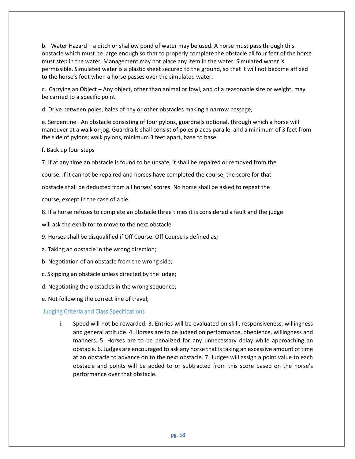b. Water Hazard – a ditch or shallow pond of water may be used. A horse must pass through this obstacle which must be large enough so that to properly complete the obstacle all four feet of the horse must step in the water. Management may not place any item in the water. Simulated water is permissible. Simulated water is a plastic sheet secured to the ground, so that it will not become affixed to the horse's foot when a horse passes over the simulated water.

c. Carrying an Object – Any object, other than animal or fowl, and of a reasonable size or weight, may be carried to a specific point.

d. Drive between poles, bales of hay or other obstacles making a narrow passage,

e. Serpentine –An obstacle consisting of four pylons, guardrails optional, through which a horse will maneuver at a walk or jog. Guardrails shall consist of poles places parallel and a minimum of 3 feet from the side of pylons; walk pylons, minimum 3 feet apart, base to base.

f. Back up four steps

7. If at any time an obstacle is found to be unsafe, it shall be repaired or removed from the

course. If it cannot be repaired and horses have completed the course, the score for that

obstacle shall be deducted from all horses' scores. No horse shall be asked to repeat the

course, except in the case of a tie.

8. If a horse refuses to complete an obstacle three times it is considered a fault and the judge

will ask the exhibitor to move to the next obstacle

9. Horses shall be disqualified if Off Course. Off Course is defined as;

a. Taking an obstacle in the wrong direction;

b. Negotiation of an obstacle from the wrong side;

c. Skipping an obstacle unless directed by the judge;

d. Negotiating the obstacles in the wrong sequence;

e. Not following the correct line of travel;

## Judging Criteria and Class Specifications

i. Speed will not be rewarded. 3. Entries will be evaluated on skill, responsiveness, willingness and general attitude. 4. Horses are to be judged on performance, obedience, willingness and manners. 5. Horses are to be penalized for any unnecessary delay while approaching an obstacle. 6. Judges are encouraged to ask any horse that is taking an excessive amount of time at an obstacle to advance on to the next obstacle. 7. Judges will assign a point value to each obstacle and points will be added to or subtracted from this score based on the horse's performance over that obstacle.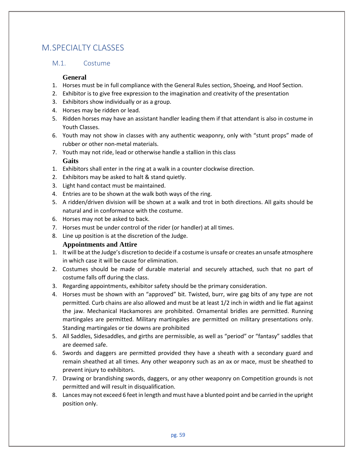# M. SPECIALTY CLASSES

## M.1. Costume

#### **General**

- 1. Horses must be in full compliance with the General Rules section, Shoeing, and Hoof Section.
- 2. Exhibitor is to give free expression to the imagination and creativity of the presentation
- 3. Exhibitors show individually or as a group.
- 4. Horses may be ridden or lead.
- 5. Ridden horses may have an assistant handler leading them if that attendant is also in costume in Youth Classes.
- 6. Youth may not show in classes with any authentic weaponry, only with "stunt props" made of rubber or other non-metal materials.
- 7. Youth may not ride, lead or otherwise handle a stallion in this class **Gaits**
- 1. Exhibitors shall enter in the ring at a walk in a counter clockwise direction.
- 2. Exhibitors may be asked to halt & stand quietly.
- 3. Light hand contact must be maintained.
- 4. Entries are to be shown at the walk both ways of the ring.
- 5. A ridden/driven division will be shown at a walk and trot in both directions. All gaits should be natural and in conformance with the costume.
- 6. Horses may not be asked to back.
- 7. Horses must be under control of the rider (or handler) at all times.
- 8. Line up position is at the discretion of the Judge.

## **Appointments and Attire**

- 1. It will be at the Judge's discretion to decide if a costume is unsafe or creates an unsafe atmosphere in which case it will be cause for elimination.
- 2. Costumes should be made of durable material and securely attached, such that no part of costume falls off during the class.
- 3. Regarding appointments, exhibitor safety should be the primary consideration.
- 4. Horses must be shown with an "approved" bit. Twisted, burr, wire gag bits of any type are not permitted. Curb chains are also allowed and must be at least 1/2 inch in width and lie flat against the jaw. Mechanical Hackamores are prohibited. Ornamental bridles are permitted. Running martingales are permitted. Military martingales are permitted on military presentations only. Standing martingales or tie downs are prohibited
- 5. All Saddles, Sidesaddles, and girths are permissible, as well as "period" or "fantasy" saddles that are deemed safe.
- 6. Swords and daggers are permitted provided they have a sheath with a secondary guard and remain sheathed at all times. Any other weaponry such as an ax or mace, must be sheathed to prevent injury to exhibitors.
- 7. Drawing or brandishing swords, daggers, or any other weaponry on Competition grounds is not permitted and will result in disqualification.
- 8. Lances may not exceed 6 feet in length and must have a blunted point and be carried in the upright position only.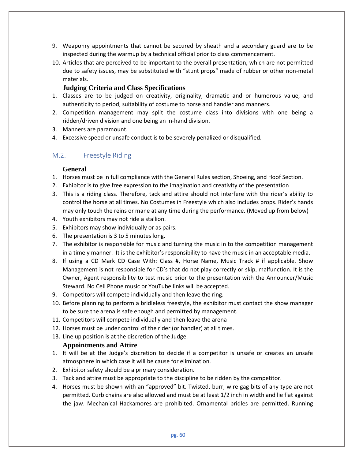- 9. Weaponry appointments that cannot be secured by sheath and a secondary guard are to be inspected during the warmup by a technical official prior to class commencement.
- 10. Articles that are perceived to be important to the overall presentation, which are not permitted due to safety issues, may be substituted with "stunt props" made of rubber or other non-metal materials.

#### **Judging Criteria and Class Specifications**

- 1. Classes are to be judged on creativity, originality, dramatic and or humorous value, and authenticity to period, suitability of costume to horse and handler and manners.
- 2. Competition management may split the costume class into divisions with one being a ridden/driven division and one being an in-hand division.
- 3. Manners are paramount.
- 4. Excessive speed or unsafe conduct is to be severely penalized or disqualified.

# M.2. Freestyle Riding

#### **General**

- 1. Horses must be in full compliance with the General Rules section, Shoeing, and Hoof Section.
- 2. Exhibitor is to give free expression to the imagination and creativity of the presentation
- 3. This is a riding class. Therefore, tack and attire should not interfere with the rider's ability to control the horse at all times. No Costumes in Freestyle which also includes props. Rider's hands may only touch the reins or mane at any time during the performance. (Moved up from below)
- 4. Youth exhibitors may not ride a stallion.
- 5. Exhibitors may show individually or as pairs.
- 6. The presentation is 3 to 5 minutes long.
- 7. The exhibitor is responsible for music and turning the music in to the competition management in a timely manner. It is the exhibitor's responsibility to have the music in an acceptable media.
- 8. If using a CD Mark CD Case With: Class #, Horse Name, Music Track # if applicable. Show Management is not responsible for CD's that do not play correctly or skip, malfunction. It is the Owner, Agent responsibility to test music prior to the presentation with the Announcer/Music Steward. No Cell Phone music or YouTube links will be accepted.
- 9. Competitors will compete individually and then leave the ring.
- 10. Before planning to perform a bridleless freestyle, the exhibitor must contact the show manager to be sure the arena is safe enough and permitted by management.
- 11. Competitors will compete individually and then leave the arena
- 12. Horses must be under control of the rider (or handler) at all times.
- 13. Line up position is at the discretion of the Judge.

## **Appointments and Attire**

- 1. It will be at the Judge's discretion to decide if a competitor is unsafe or creates an unsafe atmosphere in which case it will be cause for elimination.
- 2. Exhibitor safety should be a primary consideration.
- 3. Tack and attire must be appropriate to the discipline to be ridden by the competitor.
- 4. Horses must be shown with an "approved" bit. Twisted, burr, wire gag bits of any type are not permitted. Curb chains are also allowed and must be at least 1/2 inch in width and lie flat against the jaw. Mechanical Hackamores are prohibited. Ornamental bridles are permitted. Running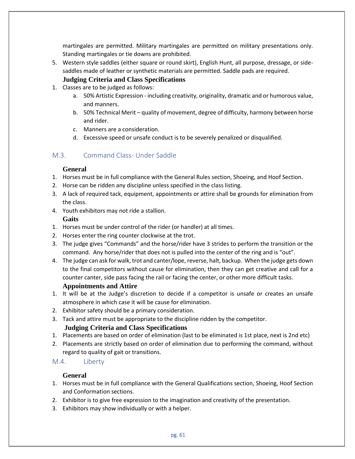martingales are permitted. Military martingales are permitted on military presentations only. Standing martingales or tie downs are prohibited.

5. Western style saddles (either square or round skirt), English Hunt, all purpose, dressage, or sidesaddles made of leather or synthetic materials are permitted. Saddle pads are required.

## **Judging Criteria and Class Specifications**

- 1. Classes are to be judged as follows:
	- a. 50% Artistic Expression including creativity, originality, dramatic and or humorous value, and manners.
	- b. 50% Technical Merit quality of movement, degree of difficulty, harmony between horse and rider.
	- c. Manners are a consideration.
	- d. Excessive speed or unsafe conduct is to be severely penalized or disqualified.

# M.3. Command Class- Under Saddle

## **General**

- 1. Horses must be in full compliance with the General Rules section, Shoeing, and Hoof Section.
- 2. Horse can be ridden any discipline unless specified in the class listing.
- 3. A lack of required tack, equipment, appointments or attire shall be grounds for elimination from the class.
- 4. Youth exhibitors may not ride a stallion.

## **Gaits**

- 1. Horses must be under control of the rider (or handler) at all times.
- 2. Horses enter the ring counter clockwise at the trot.
- 3. The judge gives "Commands" and the horse/rider have 3 strides to perform the transition or the command. Any horse/rider that does not is pulled into the center of the ring and is "out".
- 4. The judge can ask for walk, trot and canter/lope, reverse, halt, backup. When the judge gets down to the final competitors without cause for elimination, then they can get creative and call for a counter canter, side pass facing the rail or facing the center, or other more difficult tasks. **Appointments and Attire**

# 1. It will be at the Judge's discretion to decide if a competitor is unsafe or creates an unsafe atmosphere in which case it will be cause for elimination.

- 2. Exhibitor safety should be a primary consideration.
- 3. Tack and attire must be appropriate to the discipline ridden by the competitor.

# **Judging Criteria and Class Specifications**

- 1. Placements are based on order of elimination (last to be eliminated is 1st place, next is 2nd etc)
- 2. Placements are strictly based on order of elimination due to performing the command, without regard to quality of gait or transitions.

# M.4. Liberty

# **General**

- 1. Horses must be in full compliance with the General Qualifications section, Shoeing, Hoof Section and Conformation sections.
- 2. Exhibitor is to give free expression to the imagination and creativity of the presentation.
- 3. Exhibitors may show individually or with a helper.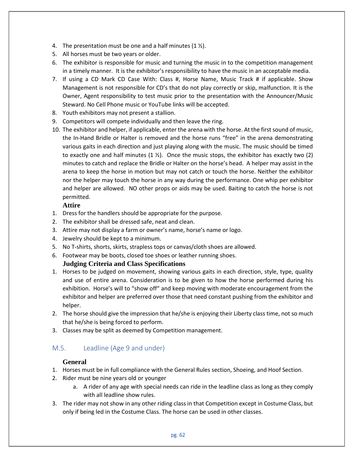- 4. The presentation must be one and a half minutes  $(1 \frac{1}{2})$ .
- 5. All horses must be two years or older.
- 6. The exhibitor is responsible for music and turning the music in to the competition management in a timely manner. It is the exhibitor's responsibility to have the music in an acceptable media.
- 7. If using a CD Mark CD Case With: Class #, Horse Name, Music Track # if applicable. Show Management is not responsible for CD's that do not play correctly or skip, malfunction. It is the Owner, Agent responsibility to test music prior to the presentation with the Announcer/Music Steward. No Cell Phone music or YouTube links will be accepted.
- 8. Youth exhibitors may not present a stallion.
- 9. Competitors will compete individually and then leave the ring.
- 10. The exhibitor and helper, if applicable, enter the arena with the horse. At the first sound of music, the In-Hand Bridle or Halter is removed and the horse runs "free" in the arena demonstrating various gaits in each direction and just playing along with the music. The music should be timed to exactly one and half minutes  $(1 \n\times)$ . Once the music stops, the exhibitor has exactly two  $(2)$ minutes to catch and replace the Bridle or Halter on the horse's head. A helper may assist in the arena to keep the horse in motion but may not catch or touch the horse. Neither the exhibitor nor the helper may touch the horse in any way during the performance. One whip per exhibitor and helper are allowed. NO other props or aids may be used. Baiting to catch the horse is not permitted.

## **Attire**

- 1. Dress for the handlers should be appropriate for the purpose.
- 2. The exhibitor shall be dressed safe, neat and clean.
- 3. Attire may not display a farm or owner's name, horse's name or logo.
- 4. Jewelry should be kept to a minimum.
- 5. No T-shirts, shorts, skirts, strapless tops or canvas/cloth shoes are allowed.
- 6. Footwear may be boots, closed toe shoes or leather running shoes.

# **Judging Criteria and Class Specifications**

- 1. Horses to be judged on movement, showing various gaits in each direction, style, type, quality and use of entire arena. Consideration is to be given to how the horse performed during his exhibition. Horse's will to "show off" and keep moving with moderate encouragement from the exhibitor and helper are preferred over those that need constant pushing from the exhibitor and helper.
- 2. The horse should give the impression that he/she is enjoying their Liberty class time, not so much that he/she is being forced to perform.
- 3. Classes may be split as deemed by Competition management.

# M.5. Leadline (Age 9 and under)

## **General**

- 1. Horses must be in full compliance with the General Rules section, Shoeing, and Hoof Section.
- 2. Rider must be nine years old or younger
	- a. A rider of any age with special needs can ride in the leadline class as long as they comply with all leadline show rules.
- 3. The rider may not show in any other riding class in that Competition except in Costume Class, but only if being led in the Costume Class. The horse can be used in other classes.